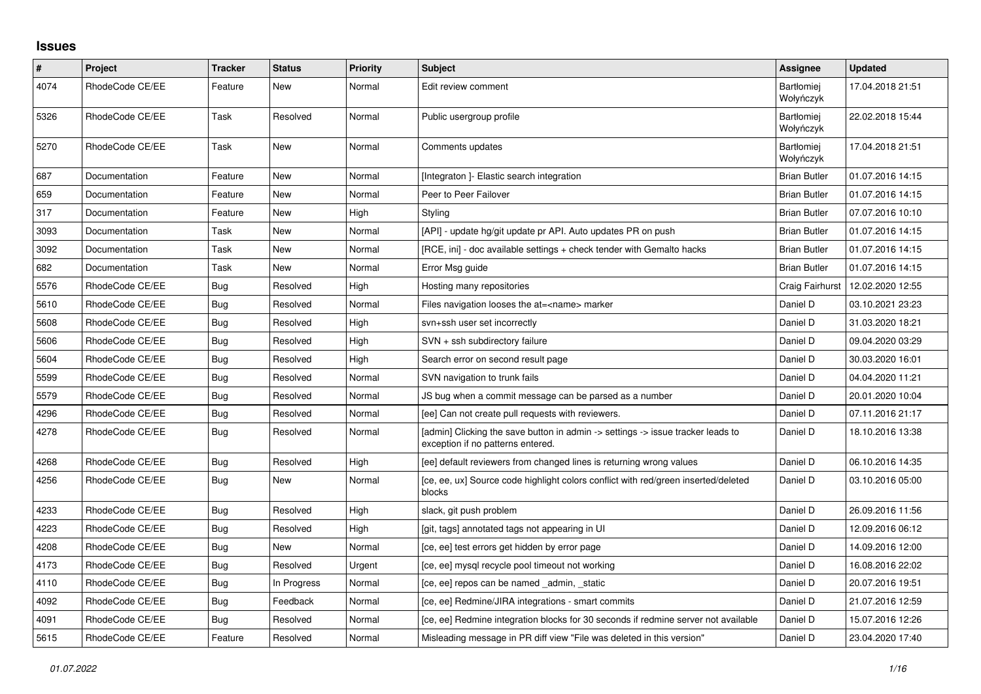## **Issues**

| $\pmb{\#}$ | Project         | Tracker    | <b>Status</b> | <b>Priority</b> | <b>Subject</b>                                                                                                       | Assignee                       | <b>Updated</b>   |
|------------|-----------------|------------|---------------|-----------------|----------------------------------------------------------------------------------------------------------------------|--------------------------------|------------------|
| 4074       | RhodeCode CE/EE | Feature    | New           | Normal          | Edit review comment                                                                                                  | <b>Bartłomiei</b><br>Wołyńczyk | 17.04.2018 21:51 |
| 5326       | RhodeCode CE/EE | Task       | Resolved      | Normal          | Public usergroup profile                                                                                             | <b>Bartłomiej</b><br>Wołyńczyk | 22.02.2018 15:44 |
| 5270       | RhodeCode CE/EE | Task       | New           | Normal          | Comments updates                                                                                                     | Bartłomiej<br>Wołyńczyk        | 17.04.2018 21:51 |
| 687        | Documentation   | Feature    | New           | Normal          | [Integraton] - Elastic search integration                                                                            | <b>Brian Butler</b>            | 01.07.2016 14:15 |
| 659        | Documentation   | Feature    | New           | Normal          | Peer to Peer Failover                                                                                                | <b>Brian Butler</b>            | 01.07.2016 14:15 |
| 317        | Documentation   | Feature    | New           | High            | Styling                                                                                                              | <b>Brian Butler</b>            | 07.07.2016 10:10 |
| 3093       | Documentation   | Task       | New           | Normal          | [API] - update hg/git update pr API. Auto updates PR on push                                                         | <b>Brian Butler</b>            | 01.07.2016 14:15 |
| 3092       | Documentation   | Task       | New           | Normal          | [RCE, ini] - doc available settings + check tender with Gemalto hacks                                                | <b>Brian Butler</b>            | 01.07.2016 14:15 |
| 682        | Documentation   | Task       | <b>New</b>    | Normal          | Error Msg guide                                                                                                      | <b>Brian Butler</b>            | 01.07.2016 14:15 |
| 5576       | RhodeCode CE/EE | Bug        | Resolved      | High            | Hosting many repositories                                                                                            | Craig Fairhurst                | 12.02.2020 12:55 |
| 5610       | RhodeCode CE/EE | Bug        | Resolved      | Normal          | Files navigation looses the at= <name> marker</name>                                                                 | Daniel D                       | 03.10.2021 23:23 |
| 5608       | RhodeCode CE/EE | Bug        | Resolved      | High            | svn+ssh user set incorrectly                                                                                         | Daniel D                       | 31.03.2020 18:21 |
| 5606       | RhodeCode CE/EE | Bug        | Resolved      | High            | SVN + ssh subdirectory failure                                                                                       | Daniel D                       | 09.04.2020 03:29 |
| 5604       | RhodeCode CE/EE | Bug        | Resolved      | High            | Search error on second result page                                                                                   | Daniel D                       | 30.03.2020 16:01 |
| 5599       | RhodeCode CE/EE | <b>Bug</b> | Resolved      | Normal          | SVN navigation to trunk fails                                                                                        | Daniel D                       | 04.04.2020 11:21 |
| 5579       | RhodeCode CE/EE | Bug        | Resolved      | Normal          | JS bug when a commit message can be parsed as a number                                                               | Daniel D                       | 20.01.2020 10:04 |
| 4296       | RhodeCode CE/EE | Bug        | Resolved      | Normal          | [ee] Can not create pull requests with reviewers.                                                                    | Daniel D                       | 07.11.2016 21:17 |
| 4278       | RhodeCode CE/EE | Bug        | Resolved      | Normal          | [admin] Clicking the save button in admin -> settings -> issue tracker leads to<br>exception if no patterns entered. | Daniel D                       | 18.10.2016 13:38 |
| 4268       | RhodeCode CE/EE | <b>Bug</b> | Resolved      | High            | [ee] default reviewers from changed lines is returning wrong values                                                  | Daniel D                       | 06.10.2016 14:35 |
| 4256       | RhodeCode CE/EE | Bug        | New           | Normal          | [ce, ee, ux] Source code highlight colors conflict with red/green inserted/deleted<br>blocks                         | Daniel D                       | 03.10.2016 05:00 |
| 4233       | RhodeCode CE/EE | <b>Bug</b> | Resolved      | High            | slack, git push problem                                                                                              | Daniel D                       | 26.09.2016 11:56 |
| 4223       | RhodeCode CE/EE | <b>Bug</b> | Resolved      | High            | [git, tags] annotated tags not appearing in UI                                                                       | Daniel D                       | 12.09.2016 06:12 |
| 4208       | RhodeCode CE/EE | Bug        | New           | Normal          | [ce, ee] test errors get hidden by error page                                                                        | Daniel D                       | 14.09.2016 12:00 |
| 4173       | RhodeCode CE/EE | <b>Bug</b> | Resolved      | Urgent          | [ce, ee] mysql recycle pool timeout not working                                                                      | Daniel D                       | 16.08.2016 22:02 |
| 4110       | RhodeCode CE/EE | Bug        | In Progress   | Normal          | [ce, ee] repos can be named _admin, _static                                                                          | Daniel D                       | 20.07.2016 19:51 |
| 4092       | RhodeCode CE/EE | <b>Bug</b> | Feedback      | Normal          | [ce, ee] Redmine/JIRA integrations - smart commits                                                                   | Daniel D                       | 21.07.2016 12:59 |
| 4091       | RhodeCode CE/EE | Bug        | Resolved      | Normal          | [ce, ee] Redmine integration blocks for 30 seconds if redmine server not available                                   | Daniel D                       | 15.07.2016 12:26 |
| 5615       | RhodeCode CE/EE | Feature    | Resolved      | Normal          | Misleading message in PR diff view "File was deleted in this version"                                                | Daniel D                       | 23.04.2020 17:40 |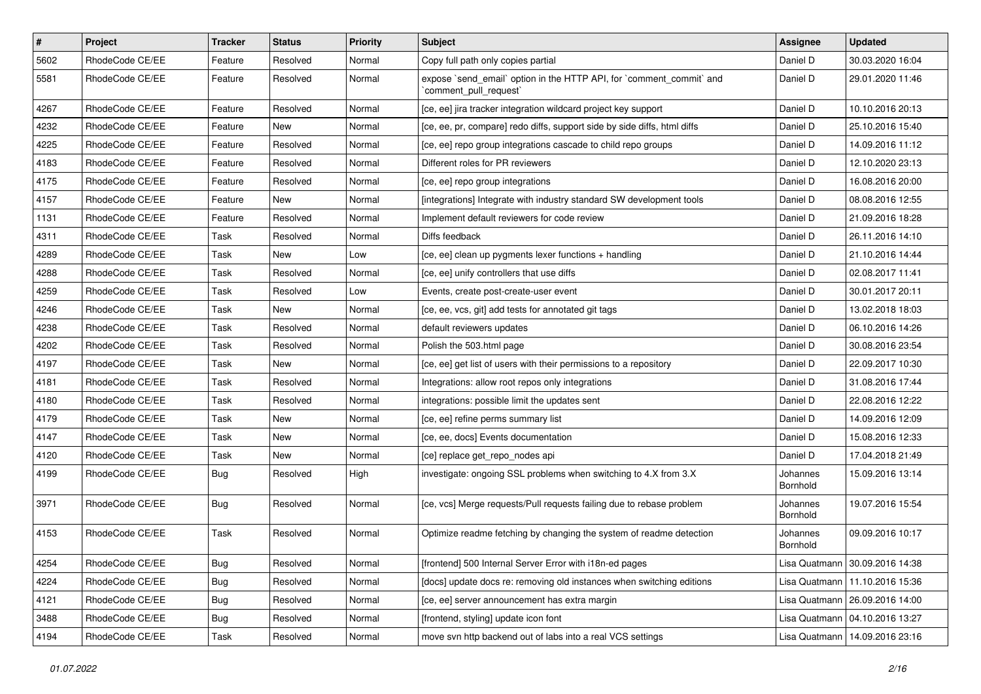| $\vert$ # | Project         | Tracker    | <b>Status</b> | <b>Priority</b> | <b>Subject</b>                                                                                 | Assignee             | <b>Updated</b>                   |
|-----------|-----------------|------------|---------------|-----------------|------------------------------------------------------------------------------------------------|----------------------|----------------------------------|
| 5602      | RhodeCode CE/EE | Feature    | Resolved      | Normal          | Copy full path only copies partial                                                             | Daniel D             | 30.03.2020 16:04                 |
| 5581      | RhodeCode CE/EE | Feature    | Resolved      | Normal          | expose `send_email` option in the HTTP API, for `comment_commit` and<br>`comment_pull_request` | Daniel D             | 29.01.2020 11:46                 |
| 4267      | RhodeCode CE/EE | Feature    | Resolved      | Normal          | [ce, ee] jira tracker integration wildcard project key support                                 | Daniel D             | 10.10.2016 20:13                 |
| 4232      | RhodeCode CE/EE | Feature    | New           | Normal          | [ce, ee, pr, compare] redo diffs, support side by side diffs, html diffs                       | Daniel D             | 25.10.2016 15:40                 |
| 4225      | RhodeCode CE/EE | Feature    | Resolved      | Normal          | [ce, ee] repo group integrations cascade to child repo groups                                  | Daniel D             | 14.09.2016 11:12                 |
| 4183      | RhodeCode CE/EE | Feature    | Resolved      | Normal          | Different roles for PR reviewers                                                               | Daniel D             | 12.10.2020 23:13                 |
| 4175      | RhodeCode CE/EE | Feature    | Resolved      | Normal          | [ce, ee] repo group integrations                                                               | Daniel D             | 16.08.2016 20:00                 |
| 4157      | RhodeCode CE/EE | Feature    | New           | Normal          | [integrations] Integrate with industry standard SW development tools                           | Daniel D             | 08.08.2016 12:55                 |
| 1131      | RhodeCode CE/EE | Feature    | Resolved      | Normal          | Implement default reviewers for code review                                                    | Daniel D             | 21.09.2016 18:28                 |
| 4311      | RhodeCode CE/EE | Task       | Resolved      | Normal          | Diffs feedback                                                                                 | Daniel D             | 26.11.2016 14:10                 |
| 4289      | RhodeCode CE/EE | Task       | New           | Low             | [ce, ee] clean up pygments lexer functions + handling                                          | Daniel D             | 21.10.2016 14:44                 |
| 4288      | RhodeCode CE/EE | Task       | Resolved      | Normal          | [ce, ee] unify controllers that use diffs                                                      | Daniel D             | 02.08.2017 11:41                 |
| 4259      | RhodeCode CE/EE | Task       | Resolved      | Low             | Events, create post-create-user event                                                          | Daniel D             | 30.01.2017 20:11                 |
| 4246      | RhodeCode CE/EE | Task       | New           | Normal          | [ce, ee, vcs, git] add tests for annotated git tags                                            | Daniel D             | 13.02.2018 18:03                 |
| 4238      | RhodeCode CE/EE | Task       | Resolved      | Normal          | default reviewers updates                                                                      | Daniel D             | 06.10.2016 14:26                 |
| 4202      | RhodeCode CE/EE | Task       | Resolved      | Normal          | Polish the 503.html page                                                                       | Daniel D             | 30.08.2016 23:54                 |
| 4197      | RhodeCode CE/EE | Task       | New           | Normal          | [ce, ee] get list of users with their permissions to a repository                              | Daniel D             | 22.09.2017 10:30                 |
| 4181      | RhodeCode CE/EE | Task       | Resolved      | Normal          | Integrations: allow root repos only integrations                                               | Daniel D             | 31.08.2016 17:44                 |
| 4180      | RhodeCode CE/EE | Task       | Resolved      | Normal          | integrations: possible limit the updates sent                                                  | Daniel D             | 22.08.2016 12:22                 |
| 4179      | RhodeCode CE/EE | Task       | New           | Normal          | [ce, ee] refine perms summary list                                                             | Daniel D             | 14.09.2016 12:09                 |
| 4147      | RhodeCode CE/EE | Task       | New           | Normal          | [ce, ee, docs] Events documentation                                                            | Daniel D             | 15.08.2016 12:33                 |
| 4120      | RhodeCode CE/EE | Task       | New           | Normal          | [ce] replace get_repo_nodes api                                                                | Daniel D             | 17.04.2018 21:49                 |
| 4199      | RhodeCode CE/EE | Bug        | Resolved      | High            | investigate: ongoing SSL problems when switching to 4.X from 3.X                               | Johannes<br>Bornhold | 15.09.2016 13:14                 |
| 3971      | RhodeCode CE/EE | <b>Bug</b> | Resolved      | Normal          | [ce, vcs] Merge requests/Pull requests failing due to rebase problem                           | Johannes<br>Bornhold | 19.07.2016 15:54                 |
| 4153      | RhodeCode CE/EE | Task       | Resolved      | Normal          | Optimize readme fetching by changing the system of readme detection                            | Johannes<br>Bornhold | 09.09.2016 10:17                 |
| 4254      | RhodeCode CE/EE | <b>Bug</b> | Resolved      | Normal          | [frontend] 500 Internal Server Error with i18n-ed pages                                        |                      | Lisa Quatmann   30.09.2016 14:38 |
| 4224      | RhodeCode CE/EE | <b>Bug</b> | Resolved      | Normal          | [docs] update docs re: removing old instances when switching editions                          |                      | Lisa Quatmann   11.10.2016 15:36 |
| 4121      | RhodeCode CE/EE | <b>Bug</b> | Resolved      | Normal          | [ce, ee] server announcement has extra margin                                                  |                      | Lisa Quatmann   26.09.2016 14:00 |
| 3488      | RhodeCode CE/EE | <b>Bug</b> | Resolved      | Normal          | [frontend, styling] update icon font                                                           |                      | Lisa Quatmann   04.10.2016 13:27 |
| 4194      | RhodeCode CE/EE | Task       | Resolved      | Normal          | move svn http backend out of labs into a real VCS settings                                     |                      | Lisa Quatmann   14.09.2016 23:16 |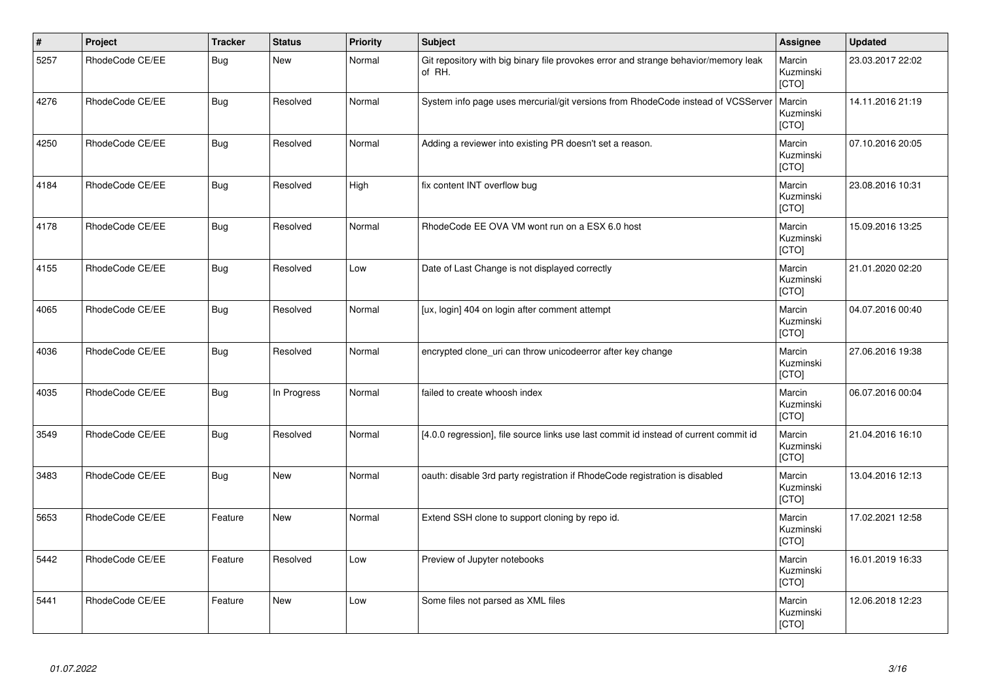| $\vert$ # | Project         | <b>Tracker</b> | <b>Status</b> | <b>Priority</b> | <b>Subject</b>                                                                                | Assignee                            | <b>Updated</b>   |
|-----------|-----------------|----------------|---------------|-----------------|-----------------------------------------------------------------------------------------------|-------------------------------------|------------------|
| 5257      | RhodeCode CE/EE | <b>Bug</b>     | New           | Normal          | Git repository with big binary file provokes error and strange behavior/memory leak<br>of RH. | Marcin<br>Kuzminski<br>[CTO]        | 23.03.2017 22:02 |
| 4276      | RhodeCode CE/EE | Bug            | Resolved      | Normal          | System info page uses mercurial/git versions from RhodeCode instead of VCSServer              | Marcin<br>Kuzminski<br>[CTO]        | 14.11.2016 21:19 |
| 4250      | RhodeCode CE/EE | <b>Bug</b>     | Resolved      | Normal          | Adding a reviewer into existing PR doesn't set a reason.                                      | Marcin<br>Kuzminski<br>[CTO]        | 07.10.2016 20:05 |
| 4184      | RhodeCode CE/EE | Bug            | Resolved      | High            | fix content INT overflow bug                                                                  | Marcin<br>Kuzminski<br>[CTO]        | 23.08.2016 10:31 |
| 4178      | RhodeCode CE/EE | Bug            | Resolved      | Normal          | RhodeCode EE OVA VM wont run on a ESX 6.0 host                                                | Marcin<br>Kuzminski<br><b>[CTO]</b> | 15.09.2016 13:25 |
| 4155      | RhodeCode CE/EE | <b>Bug</b>     | Resolved      | Low             | Date of Last Change is not displayed correctly                                                | Marcin<br>Kuzminski<br>[CTO]        | 21.01.2020 02:20 |
| 4065      | RhodeCode CE/EE | Bug            | Resolved      | Normal          | [ux, login] 404 on login after comment attempt                                                | Marcin<br>Kuzminski<br>[CTO]        | 04.07.2016 00:40 |
| 4036      | RhodeCode CE/EE | <b>Bug</b>     | Resolved      | Normal          | encrypted clone_uri can throw unicodeerror after key change                                   | Marcin<br>Kuzminski<br>[CTO]        | 27.06.2016 19:38 |
| 4035      | RhodeCode CE/EE | Bug            | In Progress   | Normal          | failed to create whoosh index                                                                 | Marcin<br>Kuzminski<br>[CTO]        | 06.07.2016 00:04 |
| 3549      | RhodeCode CE/EE | <b>Bug</b>     | Resolved      | Normal          | [4.0.0 regression], file source links use last commit id instead of current commit id         | Marcin<br>Kuzminski<br>[CTO]        | 21.04.2016 16:10 |
| 3483      | RhodeCode CE/EE | <b>Bug</b>     | <b>New</b>    | Normal          | oauth: disable 3rd party registration if RhodeCode registration is disabled                   | Marcin<br>Kuzminski<br>[CTO]        | 13.04.2016 12:13 |
| 5653      | RhodeCode CE/EE | Feature        | <b>New</b>    | Normal          | Extend SSH clone to support cloning by repo id.                                               | Marcin<br>Kuzminski<br>[CTO]        | 17.02.2021 12:58 |
| 5442      | RhodeCode CE/EE | Feature        | Resolved      | Low             | Preview of Jupyter notebooks                                                                  | Marcin<br>Kuzminski<br>[CTO]        | 16.01.2019 16:33 |
| 5441      | RhodeCode CE/EE | Feature        | <b>New</b>    | Low             | Some files not parsed as XML files                                                            | Marcin<br>Kuzminski<br>[CTO]        | 12.06.2018 12:23 |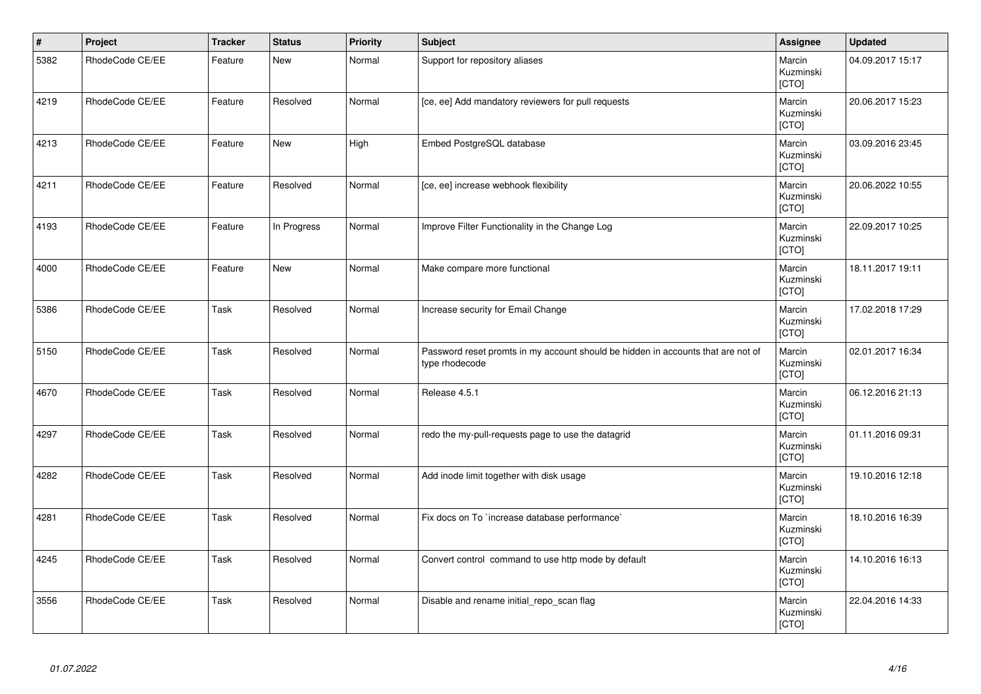| $\vert$ # | Project         | <b>Tracker</b> | <b>Status</b> | <b>Priority</b> | Subject                                                                                            | Assignee                     | <b>Updated</b>   |
|-----------|-----------------|----------------|---------------|-----------------|----------------------------------------------------------------------------------------------------|------------------------------|------------------|
| 5382      | RhodeCode CE/EE | Feature        | <b>New</b>    | Normal          | Support for repository aliases                                                                     | Marcin<br>Kuzminski<br>[CTO] | 04.09.2017 15:17 |
| 4219      | RhodeCode CE/EE | Feature        | Resolved      | Normal          | [ce, ee] Add mandatory reviewers for pull requests                                                 | Marcin<br>Kuzminski<br>[CTO] | 20.06.2017 15:23 |
| 4213      | RhodeCode CE/EE | Feature        | <b>New</b>    | High            | Embed PostgreSQL database                                                                          | Marcin<br>Kuzminski<br>[CTO] | 03.09.2016 23:45 |
| 4211      | RhodeCode CE/EE | Feature        | Resolved      | Normal          | [ce, ee] increase webhook flexibility                                                              | Marcin<br>Kuzminski<br>[CTO] | 20.06.2022 10:55 |
| 4193      | RhodeCode CE/EE | Feature        | In Progress   | Normal          | Improve Filter Functionality in the Change Log                                                     | Marcin<br>Kuzminski<br>[CTO] | 22.09.2017 10:25 |
| 4000      | RhodeCode CE/EE | Feature        | New           | Normal          | Make compare more functional                                                                       | Marcin<br>Kuzminski<br>[CTO] | 18.11.2017 19:11 |
| 5386      | RhodeCode CE/EE | Task           | Resolved      | Normal          | Increase security for Email Change                                                                 | Marcin<br>Kuzminski<br>[CTO] | 17.02.2018 17:29 |
| 5150      | RhodeCode CE/EE | Task           | Resolved      | Normal          | Password reset promts in my account should be hidden in accounts that are not of<br>type rhodecode | Marcin<br>Kuzminski<br>[CTO] | 02.01.2017 16:34 |
| 4670      | RhodeCode CE/EE | Task           | Resolved      | Normal          | Release 4.5.1                                                                                      | Marcin<br>Kuzminski<br>[CTO] | 06.12.2016 21:13 |
| 4297      | RhodeCode CE/EE | Task           | Resolved      | Normal          | redo the my-pull-requests page to use the datagrid                                                 | Marcin<br>Kuzminski<br>[CTO] | 01.11.2016 09:31 |
| 4282      | RhodeCode CE/EE | Task           | Resolved      | Normal          | Add inode limit together with disk usage                                                           | Marcin<br>Kuzminski<br>[CTO] | 19.10.2016 12:18 |
| 4281      | RhodeCode CE/EE | Task           | Resolved      | Normal          | Fix docs on To `increase database performance`                                                     | Marcin<br>Kuzminski<br>[CTO] | 18.10.2016 16:39 |
| 4245      | RhodeCode CE/EE | Task           | Resolved      | Normal          | Convert control command to use http mode by default                                                | Marcin<br>Kuzminski<br>[CTO] | 14.10.2016 16:13 |
| 3556      | RhodeCode CE/EE | Task           | Resolved      | Normal          | Disable and rename initial_repo_scan flag                                                          | Marcin<br>Kuzminski<br>[CTO] | 22.04.2016 14:33 |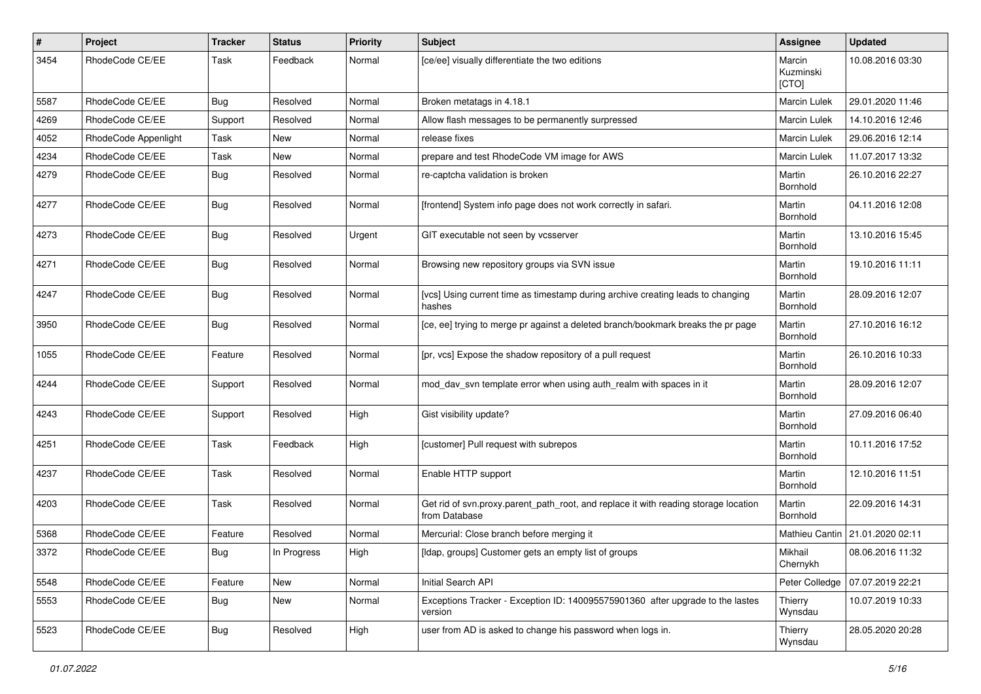| #    | Project              | <b>Tracker</b> | <b>Status</b> | <b>Priority</b> | <b>Subject</b>                                                                                       | Assignee                     | <b>Updated</b>                  |
|------|----------------------|----------------|---------------|-----------------|------------------------------------------------------------------------------------------------------|------------------------------|---------------------------------|
| 3454 | RhodeCode CE/EE      | Task           | Feedback      | Normal          | [ce/ee] visually differentiate the two editions                                                      | Marcin<br>Kuzminski<br>[CTO] | 10.08.2016 03:30                |
| 5587 | RhodeCode CE/EE      | <b>Bug</b>     | Resolved      | Normal          | Broken metatags in 4.18.1                                                                            | Marcin Lulek                 | 29.01.2020 11:46                |
| 4269 | RhodeCode CE/EE      | Support        | Resolved      | Normal          | Allow flash messages to be permanently surpressed                                                    | Marcin Lulek                 | 14.10.2016 12:46                |
| 4052 | RhodeCode Appenlight | Task           | New           | Normal          | release fixes                                                                                        | Marcin Lulek                 | 29.06.2016 12:14                |
| 4234 | RhodeCode CE/EE      | Task           | New           | Normal          | prepare and test RhodeCode VM image for AWS                                                          | <b>Marcin Lulek</b>          | 11.07.2017 13:32                |
| 4279 | RhodeCode CE/EE      | Bug            | Resolved      | Normal          | re-captcha validation is broken                                                                      | Martin<br>Bornhold           | 26.10.2016 22:27                |
| 4277 | RhodeCode CE/EE      | Bug            | Resolved      | Normal          | [frontend] System info page does not work correctly in safari.                                       | Martin<br>Bornhold           | 04.11.2016 12:08                |
| 4273 | RhodeCode CE/EE      | Bug            | Resolved      | Urgent          | GIT executable not seen by vcsserver                                                                 | Martin<br>Bornhold           | 13.10.2016 15:45                |
| 4271 | RhodeCode CE/EE      | Bug            | Resolved      | Normal          | Browsing new repository groups via SVN issue                                                         | Martin<br>Bornhold           | 19.10.2016 11:11                |
| 4247 | RhodeCode CE/EE      | Bug            | Resolved      | Normal          | [vcs] Using current time as timestamp during archive creating leads to changing<br>hashes            | Martin<br>Bornhold           | 28.09.2016 12:07                |
| 3950 | RhodeCode CE/EE      | Bug            | Resolved      | Normal          | [ce, ee] trying to merge pr against a deleted branch/bookmark breaks the pr page                     | Martin<br>Bornhold           | 27.10.2016 16:12                |
| 1055 | RhodeCode CE/EE      | Feature        | Resolved      | Normal          | [pr, vcs] Expose the shadow repository of a pull request                                             | Martin<br>Bornhold           | 26.10.2016 10:33                |
| 4244 | RhodeCode CE/EE      | Support        | Resolved      | Normal          | mod_dav_svn template error when using auth_realm with spaces in it                                   | Martin<br>Bornhold           | 28.09.2016 12:07                |
| 4243 | RhodeCode CE/EE      | Support        | Resolved      | High            | Gist visibility update?                                                                              | Martin<br>Bornhold           | 27.09.2016 06:40                |
| 4251 | RhodeCode CE/EE      | Task           | Feedback      | High            | [customer] Pull request with subrepos                                                                | Martin<br>Bornhold           | 10.11.2016 17:52                |
| 4237 | RhodeCode CE/EE      | Task           | Resolved      | Normal          | Enable HTTP support                                                                                  | Martin<br>Bornhold           | 12.10.2016 11:51                |
| 4203 | RhodeCode CE/EE      | Task           | Resolved      | Normal          | Get rid of svn.proxy.parent_path_root, and replace it with reading storage location<br>from Database | Martin<br>Bornhold           | 22.09.2016 14:31                |
| 5368 | RhodeCode CE/EE      | Feature        | Resolved      | Normal          | Mercurial: Close branch before merging it                                                            |                              | Mathieu Cantin 21.01.2020 02:11 |
| 3372 | RhodeCode CE/EE      | Bug            | In Progress   | High            | [Idap, groups] Customer gets an empty list of groups                                                 | Mikhail<br>Chernykh          | 08.06.2016 11:32                |
| 5548 | RhodeCode CE/EE      | Feature        | New           | Normal          | Initial Search API                                                                                   | Peter Colledge               | 07.07.2019 22:21                |
| 5553 | RhodeCode CE/EE      | Bug            | New           | Normal          | Exceptions Tracker - Exception ID: 140095575901360 after upgrade to the lastes<br>version            | Thierry<br>Wynsdau           | 10.07.2019 10:33                |
| 5523 | RhodeCode CE/EE      | Bug            | Resolved      | High            | user from AD is asked to change his password when logs in.                                           | Thierry<br>Wynsdau           | 28.05.2020 20:28                |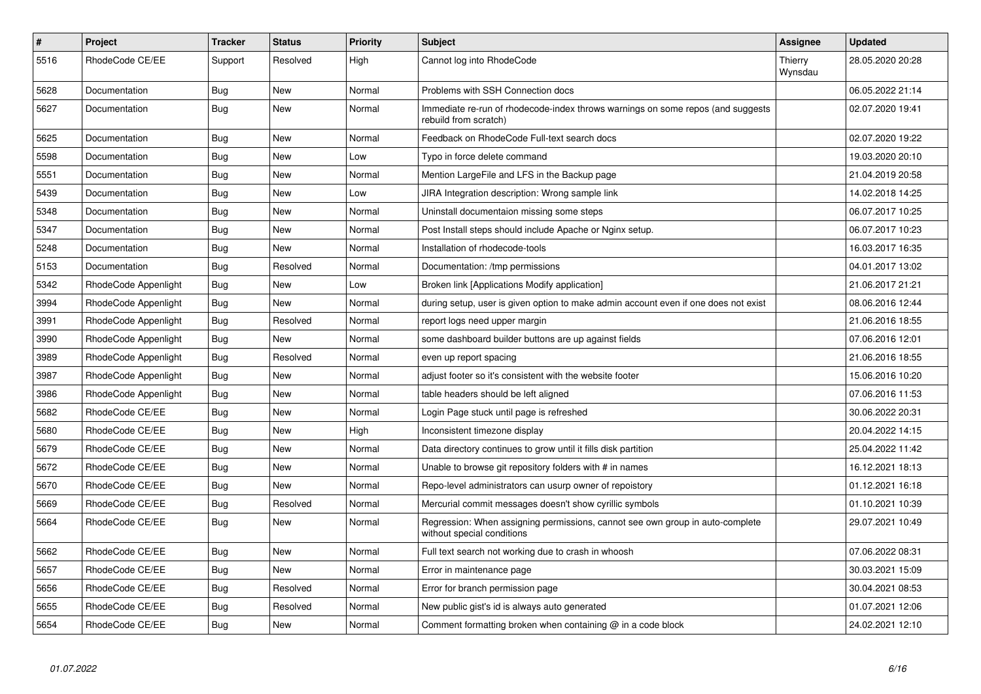| $\pmb{\#}$ | <b>Project</b>       | <b>Tracker</b> | <b>Status</b> | <b>Priority</b> | <b>Subject</b>                                                                                              | Assignee           | <b>Updated</b>   |
|------------|----------------------|----------------|---------------|-----------------|-------------------------------------------------------------------------------------------------------------|--------------------|------------------|
| 5516       | RhodeCode CE/EE      | Support        | Resolved      | High            | Cannot log into RhodeCode                                                                                   | Thierry<br>Wynsdau | 28.05.2020 20:28 |
| 5628       | Documentation        | Bug            | <b>New</b>    | Normal          | Problems with SSH Connection docs                                                                           |                    | 06.05.2022 21:14 |
| 5627       | Documentation        | Bug            | New           | Normal          | Immediate re-run of rhodecode-index throws warnings on some repos (and suggests<br>rebuild from scratch)    |                    | 02.07.2020 19:41 |
| 5625       | Documentation        | Bug            | New           | Normal          | Feedback on RhodeCode Full-text search docs                                                                 |                    | 02.07.2020 19:22 |
| 5598       | Documentation        | Bug            | New           | Low             | Typo in force delete command                                                                                |                    | 19.03.2020 20:10 |
| 5551       | Documentation        | <b>Bug</b>     | New           | Normal          | Mention LargeFile and LFS in the Backup page                                                                |                    | 21.04.2019 20:58 |
| 5439       | Documentation        | Bug            | New           | Low             | JIRA Integration description: Wrong sample link                                                             |                    | 14.02.2018 14:25 |
| 5348       | Documentation        | <b>Bug</b>     | <b>New</b>    | Normal          | Uninstall documentaion missing some steps                                                                   |                    | 06.07.2017 10:25 |
| 5347       | Documentation        | Bug            | New           | Normal          | Post Install steps should include Apache or Nginx setup.                                                    |                    | 06.07.2017 10:23 |
| 5248       | Documentation        | Bug            | <b>New</b>    | Normal          | Installation of rhodecode-tools                                                                             |                    | 16.03.2017 16:35 |
| 5153       | Documentation        | Bug            | Resolved      | Normal          | Documentation: /tmp permissions                                                                             |                    | 04.01.2017 13:02 |
| 5342       | RhodeCode Appenlight | Bug            | <b>New</b>    | Low             | Broken link [Applications Modify application]                                                               |                    | 21.06.2017 21:21 |
| 3994       | RhodeCode Appenlight | Bug            | <b>New</b>    | Normal          | during setup, user is given option to make admin account even if one does not exist                         |                    | 08.06.2016 12:44 |
| 3991       | RhodeCode Appenlight | Bug            | Resolved      | Normal          | report logs need upper margin                                                                               |                    | 21.06.2016 18:55 |
| 3990       | RhodeCode Appenlight | <b>Bug</b>     | New           | Normal          | some dashboard builder buttons are up against fields                                                        |                    | 07.06.2016 12:01 |
| 3989       | RhodeCode Appenlight | Bug            | Resolved      | Normal          | even up report spacing                                                                                      |                    | 21.06.2016 18:55 |
| 3987       | RhodeCode Appenlight | <b>Bug</b>     | New           | Normal          | adjust footer so it's consistent with the website footer                                                    |                    | 15.06.2016 10:20 |
| 3986       | RhodeCode Appenlight | Bug            | New           | Normal          | table headers should be left aligned                                                                        |                    | 07.06.2016 11:53 |
| 5682       | RhodeCode CE/EE      | Bug            | <b>New</b>    | Normal          | Login Page stuck until page is refreshed                                                                    |                    | 30.06.2022 20:31 |
| 5680       | RhodeCode CE/EE      | Bug            | New           | High            | Inconsistent timezone display                                                                               |                    | 20.04.2022 14:15 |
| 5679       | RhodeCode CE/EE      | Bug            | <b>New</b>    | Normal          | Data directory continues to grow until it fills disk partition                                              |                    | 25.04.2022 11:42 |
| 5672       | RhodeCode CE/EE      | Bug            | New           | Normal          | Unable to browse git repository folders with # in names                                                     |                    | 16.12.2021 18:13 |
| 5670       | RhodeCode CE/EE      | Bug            | <b>New</b>    | Normal          | Repo-level administrators can usurp owner of repoistory                                                     |                    | 01.12.2021 16:18 |
| 5669       | RhodeCode CE/EE      | <b>Bug</b>     | Resolved      | Normal          | Mercurial commit messages doesn't show cyrillic symbols                                                     |                    | 01.10.2021 10:39 |
| 5664       | RhodeCode CE/EE      | Bug            | New           | Normal          | Regression: When assigning permissions, cannot see own group in auto-complete<br>without special conditions |                    | 29.07.2021 10:49 |
| 5662       | RhodeCode CE/EE      | Bug            | <b>New</b>    | Normal          | Full text search not working due to crash in whoosh                                                         |                    | 07.06.2022 08:31 |
| 5657       | RhodeCode CE/EE      | <b>Bug</b>     | <b>New</b>    | Normal          | Error in maintenance page                                                                                   |                    | 30.03.2021 15:09 |
| 5656       | RhodeCode CE/EE      | Bug            | Resolved      | Normal          | Error for branch permission page                                                                            |                    | 30.04.2021 08:53 |
| 5655       | RhodeCode CE/EE      | Bug            | Resolved      | Normal          | New public gist's id is always auto generated                                                               |                    | 01.07.2021 12:06 |
| 5654       | RhodeCode CE/EE      | Bug            | New           | Normal          | Comment formatting broken when containing $@$ in a code block                                               |                    | 24.02.2021 12:10 |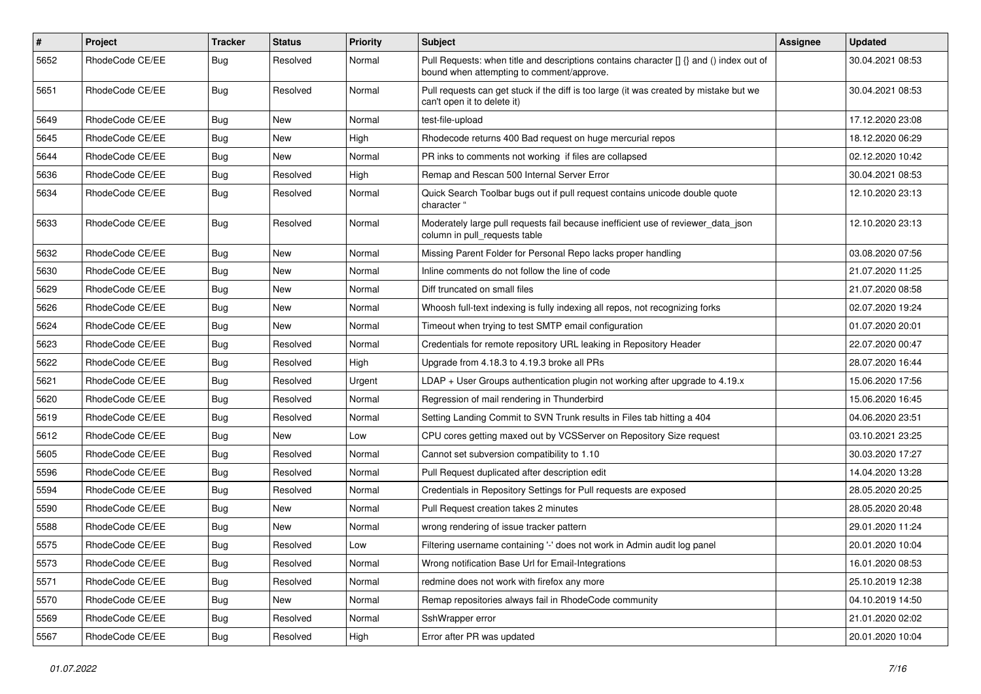| $\pmb{\#}$ | <b>Project</b>  | <b>Tracker</b> | <b>Status</b> | Priority | <b>Subject</b>                                                                                                                       | Assignee | <b>Updated</b>   |
|------------|-----------------|----------------|---------------|----------|--------------------------------------------------------------------------------------------------------------------------------------|----------|------------------|
| 5652       | RhodeCode CE/EE | Bug            | Resolved      | Normal   | Pull Requests: when title and descriptions contains character [] {} and () index out of<br>bound when attempting to comment/approve. |          | 30.04.2021 08:53 |
| 5651       | RhodeCode CE/EE | Bug            | Resolved      | Normal   | Pull requests can get stuck if the diff is too large (it was created by mistake but we<br>can't open it to delete it)                |          | 30.04.2021 08:53 |
| 5649       | RhodeCode CE/EE | Bug            | <b>New</b>    | Normal   | test-file-upload                                                                                                                     |          | 17.12.2020 23:08 |
| 5645       | RhodeCode CE/EE | Bug            | New           | High     | Rhodecode returns 400 Bad request on huge mercurial repos                                                                            |          | 18.12.2020 06:29 |
| 5644       | RhodeCode CE/EE | <b>Bug</b>     | New           | Normal   | PR inks to comments not working if files are collapsed                                                                               |          | 02.12.2020 10:42 |
| 5636       | RhodeCode CE/EE | <b>Bug</b>     | Resolved      | High     | Remap and Rescan 500 Internal Server Error                                                                                           |          | 30.04.2021 08:53 |
| 5634       | RhodeCode CE/EE | Bug            | Resolved      | Normal   | Quick Search Toolbar bugs out if pull request contains unicode double quote<br>character "                                           |          | 12.10.2020 23:13 |
| 5633       | RhodeCode CE/EE | Bug            | Resolved      | Normal   | Moderately large pull requests fail because inefficient use of reviewer_data_json<br>column in pull_requests table                   |          | 12.10.2020 23:13 |
| 5632       | RhodeCode CE/EE | Bug            | <b>New</b>    | Normal   | Missing Parent Folder for Personal Repo lacks proper handling                                                                        |          | 03.08.2020 07:56 |
| 5630       | RhodeCode CE/EE | Bug            | New           | Normal   | Inline comments do not follow the line of code                                                                                       |          | 21.07.2020 11:25 |
| 5629       | RhodeCode CE/EE | <b>Bug</b>     | New           | Normal   | Diff truncated on small files                                                                                                        |          | 21.07.2020 08:58 |
| 5626       | RhodeCode CE/EE | Bug            | New           | Normal   | Whoosh full-text indexing is fully indexing all repos, not recognizing forks                                                         |          | 02.07.2020 19:24 |
| 5624       | RhodeCode CE/EE | <b>Bug</b>     | <b>New</b>    | Normal   | Timeout when trying to test SMTP email configuration                                                                                 |          | 01.07.2020 20:01 |
| 5623       | RhodeCode CE/EE | Bug            | Resolved      | Normal   | Credentials for remote repository URL leaking in Repository Header                                                                   |          | 22.07.2020 00:47 |
| 5622       | RhodeCode CE/EE | Bug            | Resolved      | High     | Upgrade from 4.18.3 to 4.19.3 broke all PRs                                                                                          |          | 28.07.2020 16:44 |
| 5621       | RhodeCode CE/EE | Bug            | Resolved      | Urgent   | $LDAP + User Groups authentication playing not working after upgrade to 4.19.x$                                                      |          | 15.06.2020 17:56 |
| 5620       | RhodeCode CE/EE | <b>Bug</b>     | Resolved      | Normal   | Regression of mail rendering in Thunderbird                                                                                          |          | 15.06.2020 16:45 |
| 5619       | RhodeCode CE/EE | Bug            | Resolved      | Normal   | Setting Landing Commit to SVN Trunk results in Files tab hitting a 404                                                               |          | 04.06.2020 23:51 |
| 5612       | RhodeCode CE/EE | <b>Bug</b>     | <b>New</b>    | Low      | CPU cores getting maxed out by VCSServer on Repository Size request                                                                  |          | 03.10.2021 23:25 |
| 5605       | RhodeCode CE/EE | Bug            | Resolved      | Normal   | Cannot set subversion compatibility to 1.10                                                                                          |          | 30.03.2020 17:27 |
| 5596       | RhodeCode CE/EE | Bug            | Resolved      | Normal   | Pull Request duplicated after description edit                                                                                       |          | 14.04.2020 13:28 |
| 5594       | RhodeCode CE/EE | Bug            | Resolved      | Normal   | Credentials in Repository Settings for Pull requests are exposed                                                                     |          | 28.05.2020 20:25 |
| 5590       | RhodeCode CE/EE | Bug            | New           | Normal   | Pull Request creation takes 2 minutes                                                                                                |          | 28.05.2020 20:48 |
| 5588       | RhodeCode CE/EE | Bug            | New           | Normal   | wrong rendering of issue tracker pattern                                                                                             |          | 29.01.2020 11:24 |
| 5575       | RhodeCode CE/EE | Bug            | Resolved      | Low      | Filtering username containing '-' does not work in Admin audit log panel                                                             |          | 20.01.2020 10:04 |
| 5573       | RhodeCode CE/EE | <b>Bug</b>     | Resolved      | Normal   | Wrong notification Base Url for Email-Integrations                                                                                   |          | 16.01.2020 08:53 |
| 5571       | RhodeCode CE/EE | Bug            | Resolved      | Normal   | redmine does not work with firefox any more                                                                                          |          | 25.10.2019 12:38 |
| 5570       | RhodeCode CE/EE | <b>Bug</b>     | New           | Normal   | Remap repositories always fail in RhodeCode community                                                                                |          | 04.10.2019 14:50 |
| 5569       | RhodeCode CE/EE | Bug            | Resolved      | Normal   | SshWrapper error                                                                                                                     |          | 21.01.2020 02:02 |
| 5567       | RhodeCode CE/EE | Bug            | Resolved      | High     | Error after PR was updated                                                                                                           |          | 20.01.2020 10:04 |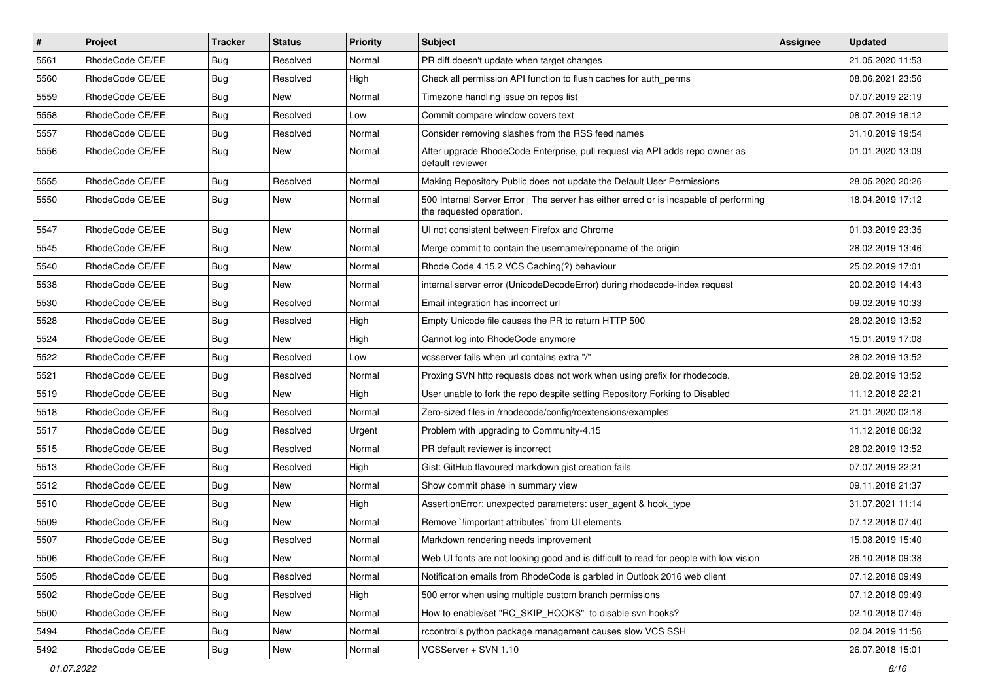| $\sharp$ | Project         | <b>Tracker</b> | <b>Status</b> | Priority | Subject                                                                                                           | <b>Assignee</b> | <b>Updated</b>   |
|----------|-----------------|----------------|---------------|----------|-------------------------------------------------------------------------------------------------------------------|-----------------|------------------|
| 5561     | RhodeCode CE/EE | <b>Bug</b>     | Resolved      | Normal   | PR diff doesn't update when target changes                                                                        |                 | 21.05.2020 11:53 |
| 5560     | RhodeCode CE/EE | Bug            | Resolved      | High     | Check all permission API function to flush caches for auth_perms                                                  |                 | 08.06.2021 23:56 |
| 5559     | RhodeCode CE/EE | <b>Bug</b>     | New           | Normal   | Timezone handling issue on repos list                                                                             |                 | 07.07.2019 22:19 |
| 5558     | RhodeCode CE/EE | <b>Bug</b>     | Resolved      | Low      | Commit compare window covers text                                                                                 |                 | 08.07.2019 18:12 |
| 5557     | RhodeCode CE/EE | Bug            | Resolved      | Normal   | Consider removing slashes from the RSS feed names                                                                 |                 | 31.10.2019 19:54 |
| 5556     | RhodeCode CE/EE | Bug            | New           | Normal   | After upgrade RhodeCode Enterprise, pull request via API adds repo owner as<br>default reviewer                   |                 | 01.01.2020 13:09 |
| 5555     | RhodeCode CE/EE | Bug            | Resolved      | Normal   | Making Repository Public does not update the Default User Permissions                                             |                 | 28.05.2020 20:26 |
| 5550     | RhodeCode CE/EE | Bug            | New           | Normal   | 500 Internal Server Error   The server has either erred or is incapable of performing<br>the requested operation. |                 | 18.04.2019 17:12 |
| 5547     | RhodeCode CE/EE | Bug            | New           | Normal   | UI not consistent between Firefox and Chrome                                                                      |                 | 01.03.2019 23:35 |
| 5545     | RhodeCode CE/EE | <b>Bug</b>     | New           | Normal   | Merge commit to contain the username/reponame of the origin                                                       |                 | 28.02.2019 13:46 |
| 5540     | RhodeCode CE/EE | Bug            | New           | Normal   | Rhode Code 4.15.2 VCS Caching(?) behaviour                                                                        |                 | 25.02.2019 17:01 |
| 5538     | RhodeCode CE/EE | <b>Bug</b>     | New           | Normal   | internal server error (UnicodeDecodeError) during rhodecode-index request                                         |                 | 20.02.2019 14:43 |
| 5530     | RhodeCode CE/EE | <b>Bug</b>     | Resolved      | Normal   | Email integration has incorrect url                                                                               |                 | 09.02.2019 10:33 |
| 5528     | RhodeCode CE/EE | Bug            | Resolved      | High     | Empty Unicode file causes the PR to return HTTP 500                                                               |                 | 28.02.2019 13:52 |
| 5524     | RhodeCode CE/EE | <b>Bug</b>     | New           | High     | Cannot log into RhodeCode anymore                                                                                 |                 | 15.01.2019 17:08 |
| 5522     | RhodeCode CE/EE | <b>Bug</b>     | Resolved      | Low      | vcsserver fails when url contains extra "/"                                                                       |                 | 28.02.2019 13:52 |
| 5521     | RhodeCode CE/EE | Bug            | Resolved      | Normal   | Proxing SVN http requests does not work when using prefix for rhodecode.                                          |                 | 28.02.2019 13:52 |
| 5519     | RhodeCode CE/EE | <b>Bug</b>     | New           | High     | User unable to fork the repo despite setting Repository Forking to Disabled                                       |                 | 11.12.2018 22:21 |
| 5518     | RhodeCode CE/EE | Bug            | Resolved      | Normal   | Zero-sized files in /rhodecode/config/rcextensions/examples                                                       |                 | 21.01.2020 02:18 |
| 5517     | RhodeCode CE/EE | <b>Bug</b>     | Resolved      | Urgent   | Problem with upgrading to Community-4.15                                                                          |                 | 11.12.2018 06:32 |
| 5515     | RhodeCode CE/EE | <b>Bug</b>     | Resolved      | Normal   | PR default reviewer is incorrect                                                                                  |                 | 28.02.2019 13:52 |
| 5513     | RhodeCode CE/EE | <b>Bug</b>     | Resolved      | High     | Gist: GitHub flavoured markdown gist creation fails                                                               |                 | 07.07.2019 22:21 |
| 5512     | RhodeCode CE/EE | <b>Bug</b>     | New           | Normal   | Show commit phase in summary view                                                                                 |                 | 09.11.2018 21:37 |
| 5510     | RhodeCode CE/EE | Bug            | <b>New</b>    | High     | AssertionError: unexpected parameters: user_agent & hook_type                                                     |                 | 31.07.2021 11:14 |
| 5509     | RhodeCode CE/EE | <b>Bug</b>     | New           | Normal   | Remove `!important attributes` from UI elements                                                                   |                 | 07.12.2018 07:40 |
| 5507     | RhodeCode CE/EE | Bug            | Resolved      | Normal   | Markdown rendering needs improvement                                                                              |                 | 15.08.2019 15:40 |
| 5506     | RhodeCode CE/EE | Bug            | New           | Normal   | Web UI fonts are not looking good and is difficult to read for people with low vision                             |                 | 26.10.2018 09:38 |
| 5505     | RhodeCode CE/EE | Bug            | Resolved      | Normal   | Notification emails from RhodeCode is garbled in Outlook 2016 web client                                          |                 | 07.12.2018 09:49 |
| 5502     | RhodeCode CE/EE | Bug            | Resolved      | High     | 500 error when using multiple custom branch permissions                                                           |                 | 07.12.2018 09:49 |
| 5500     | RhodeCode CE/EE | <b>Bug</b>     | New           | Normal   | How to enable/set "RC_SKIP_HOOKS" to disable svn hooks?                                                           |                 | 02.10.2018 07:45 |
| 5494     | RhodeCode CE/EE | <b>Bug</b>     | New           | Normal   | rccontrol's python package management causes slow VCS SSH                                                         |                 | 02.04.2019 11:56 |
| 5492     | RhodeCode CE/EE | <b>Bug</b>     | New           | Normal   | VCSServer + SVN 1.10                                                                                              |                 | 26.07.2018 15:01 |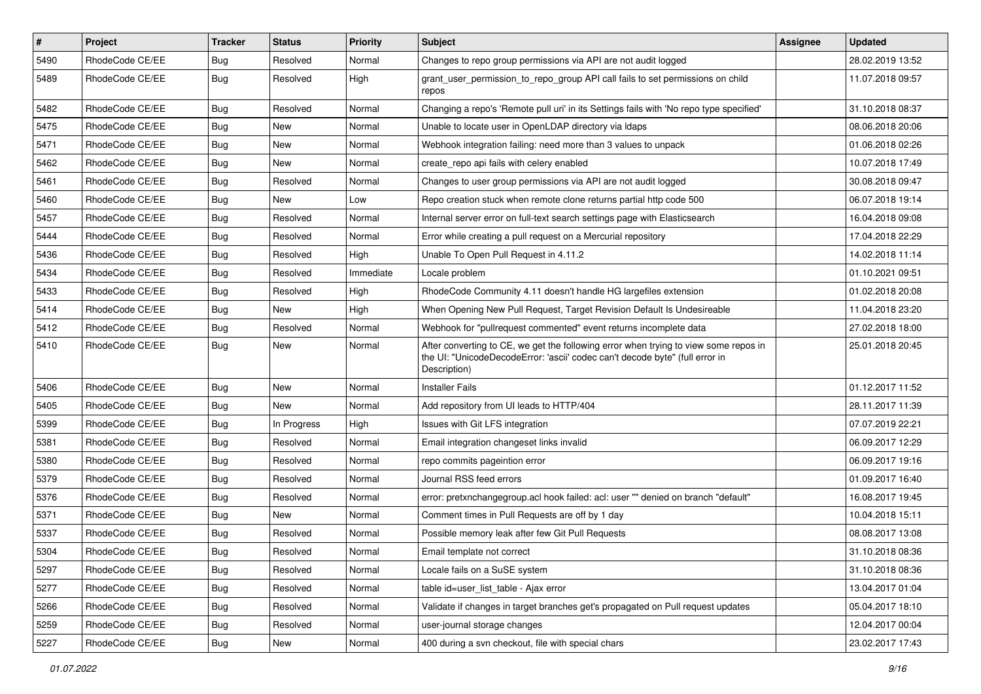| $\sharp$ | Project         | <b>Tracker</b> | <b>Status</b> | <b>Priority</b> | Subject                                                                                                                                                                              | <b>Assignee</b> | <b>Updated</b>   |
|----------|-----------------|----------------|---------------|-----------------|--------------------------------------------------------------------------------------------------------------------------------------------------------------------------------------|-----------------|------------------|
| 5490     | RhodeCode CE/EE | Bug            | Resolved      | Normal          | Changes to repo group permissions via API are not audit logged                                                                                                                       |                 | 28.02.2019 13:52 |
| 5489     | RhodeCode CE/EE | Bug            | Resolved      | High            | grant_user_permission_to_repo_group API call fails to set permissions on child<br>repos                                                                                              |                 | 11.07.2018 09:57 |
| 5482     | RhodeCode CE/EE | Bug            | Resolved      | Normal          | Changing a repo's 'Remote pull uri' in its Settings fails with 'No repo type specified'                                                                                              |                 | 31.10.2018 08:37 |
| 5475     | RhodeCode CE/EE | Bug            | New           | Normal          | Unable to locate user in OpenLDAP directory via Idaps                                                                                                                                |                 | 08.06.2018 20:06 |
| 5471     | RhodeCode CE/EE | Bug            | <b>New</b>    | Normal          | Webhook integration failing: need more than 3 values to unpack                                                                                                                       |                 | 01.06.2018 02:26 |
| 5462     | RhodeCode CE/EE | <b>Bug</b>     | New           | Normal          | create repo api fails with celery enabled                                                                                                                                            |                 | 10.07.2018 17:49 |
| 5461     | RhodeCode CE/EE | Bug            | Resolved      | Normal          | Changes to user group permissions via API are not audit logged                                                                                                                       |                 | 30.08.2018 09:47 |
| 5460     | RhodeCode CE/EE | Bug            | New           | Low             | Repo creation stuck when remote clone returns partial http code 500                                                                                                                  |                 | 06.07.2018 19:14 |
| 5457     | RhodeCode CE/EE | <b>Bug</b>     | Resolved      | Normal          | Internal server error on full-text search settings page with Elasticsearch                                                                                                           |                 | 16.04.2018 09:08 |
| 5444     | RhodeCode CE/EE | Bug            | Resolved      | Normal          | Error while creating a pull request on a Mercurial repository                                                                                                                        |                 | 17.04.2018 22:29 |
| 5436     | RhodeCode CE/EE | Bug            | Resolved      | High            | Unable To Open Pull Request in 4.11.2                                                                                                                                                |                 | 14.02.2018 11:14 |
| 5434     | RhodeCode CE/EE | Bug            | Resolved      | Immediate       | Locale problem                                                                                                                                                                       |                 | 01.10.2021 09:51 |
| 5433     | RhodeCode CE/EE | Bug            | Resolved      | High            | RhodeCode Community 4.11 doesn't handle HG largefiles extension                                                                                                                      |                 | 01.02.2018 20:08 |
| 5414     | RhodeCode CE/EE | <b>Bug</b>     | <b>New</b>    | High            | When Opening New Pull Request, Target Revision Default Is Undesireable                                                                                                               |                 | 11.04.2018 23:20 |
| 5412     | RhodeCode CE/EE | Bug            | Resolved      | Normal          | Webhook for "pullrequest commented" event returns incomplete data                                                                                                                    |                 | 27.02.2018 18:00 |
| 5410     | RhodeCode CE/EE | Bug            | New           | Normal          | After converting to CE, we get the following error when trying to view some repos in<br>the UI: "UnicodeDecodeError: 'ascii' codec can't decode byte" (full error in<br>Description) |                 | 25.01.2018 20:45 |
| 5406     | RhodeCode CE/EE | Bug            | <b>New</b>    | Normal          | <b>Installer Fails</b>                                                                                                                                                               |                 | 01.12.2017 11:52 |
| 5405     | RhodeCode CE/EE | Bug            | New           | Normal          | Add repository from UI leads to HTTP/404                                                                                                                                             |                 | 28.11.2017 11:39 |
| 5399     | RhodeCode CE/EE | Bug            | In Progress   | High            | Issues with Git LFS integration                                                                                                                                                      |                 | 07.07.2019 22:21 |
| 5381     | RhodeCode CE/EE | <b>Bug</b>     | Resolved      | Normal          | Email integration changeset links invalid                                                                                                                                            |                 | 06.09.2017 12:29 |
| 5380     | RhodeCode CE/EE | Bug            | Resolved      | Normal          | repo commits pageintion error                                                                                                                                                        |                 | 06.09.2017 19:16 |
| 5379     | RhodeCode CE/EE | Bug            | Resolved      | Normal          | Journal RSS feed errors                                                                                                                                                              |                 | 01.09.2017 16:40 |
| 5376     | RhodeCode CE/EE | Bug            | Resolved      | Normal          | error: pretxnchangegroup.acl hook failed: acl: user "" denied on branch "default"                                                                                                    |                 | 16.08.2017 19:45 |
| 5371     | RhodeCode CE/EE | Bug            | <b>New</b>    | Normal          | Comment times in Pull Requests are off by 1 day                                                                                                                                      |                 | 10.04.2018 15:11 |
| 5337     | RhodeCode CE/EE | Bug            | Resolved      | Normal          | Possible memory leak after few Git Pull Requests                                                                                                                                     |                 | 08.08.2017 13:08 |
| 5304     | RhodeCode CE/EE | Bug            | Resolved      | Normal          | Email template not correct                                                                                                                                                           |                 | 31.10.2018 08:36 |
| 5297     | RhodeCode CE/EE | Bug            | Resolved      | Normal          | Locale fails on a SuSE system                                                                                                                                                        |                 | 31.10.2018 08:36 |
| 5277     | RhodeCode CE/EE | Bug            | Resolved      | Normal          | table id=user_list_table - Ajax error                                                                                                                                                |                 | 13.04.2017 01:04 |
| 5266     | RhodeCode CE/EE | Bug            | Resolved      | Normal          | Validate if changes in target branches get's propagated on Pull request updates                                                                                                      |                 | 05.04.2017 18:10 |
| 5259     | RhodeCode CE/EE | Bug            | Resolved      | Normal          | user-journal storage changes                                                                                                                                                         |                 | 12.04.2017 00:04 |
| 5227     | RhodeCode CE/EE | Bug            | New           | Normal          | 400 during a svn checkout, file with special chars                                                                                                                                   |                 | 23.02.2017 17:43 |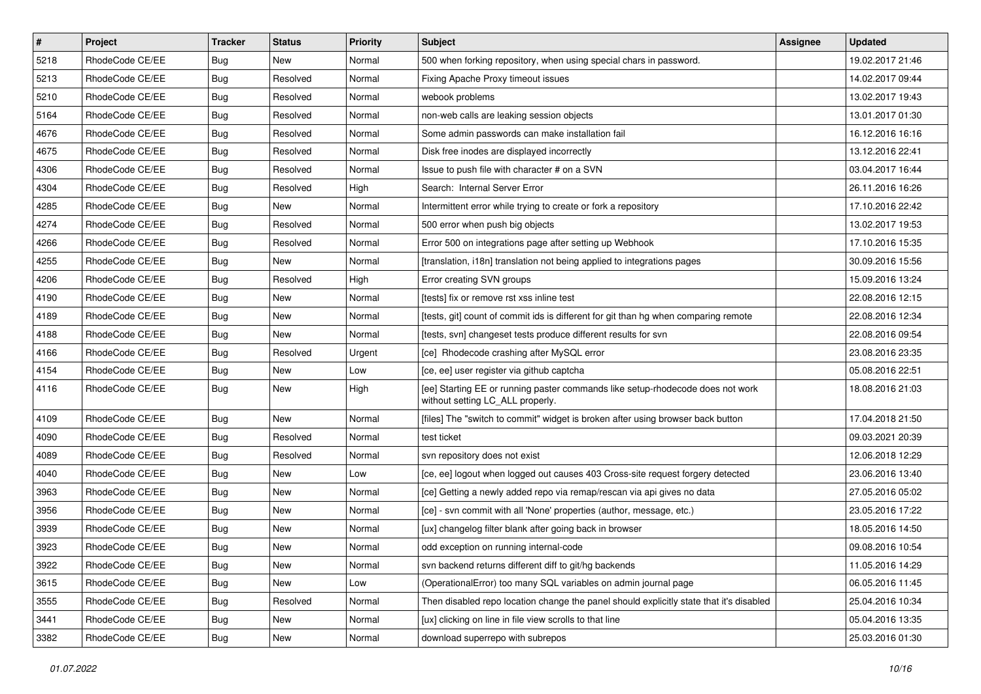| $\vert$ # | Project         | <b>Tracker</b> | <b>Status</b> | Priority | <b>Subject</b>                                                                                                     | <b>Assignee</b> | <b>Updated</b>   |
|-----------|-----------------|----------------|---------------|----------|--------------------------------------------------------------------------------------------------------------------|-----------------|------------------|
| 5218      | RhodeCode CE/EE | Bug            | New           | Normal   | 500 when forking repository, when using special chars in password.                                                 |                 | 19.02.2017 21:46 |
| 5213      | RhodeCode CE/EE | Bug            | Resolved      | Normal   | Fixing Apache Proxy timeout issues                                                                                 |                 | 14.02.2017 09:44 |
| 5210      | RhodeCode CE/EE | Bug            | Resolved      | Normal   | webook problems                                                                                                    |                 | 13.02.2017 19:43 |
| 5164      | RhodeCode CE/EE | <b>Bug</b>     | Resolved      | Normal   | non-web calls are leaking session objects                                                                          |                 | 13.01.2017 01:30 |
| 4676      | RhodeCode CE/EE | <b>Bug</b>     | Resolved      | Normal   | Some admin passwords can make installation fail                                                                    |                 | 16.12.2016 16:16 |
| 4675      | RhodeCode CE/EE | Bug            | Resolved      | Normal   | Disk free inodes are displayed incorrectly                                                                         |                 | 13.12.2016 22:41 |
| 4306      | RhodeCode CE/EE | Bug            | Resolved      | Normal   | Issue to push file with character # on a SVN                                                                       |                 | 03.04.2017 16:44 |
| 4304      | RhodeCode CE/EE | Bug            | Resolved      | High     | Search: Internal Server Error                                                                                      |                 | 26.11.2016 16:26 |
| 4285      | RhodeCode CE/EE | Bug            | New           | Normal   | Intermittent error while trying to create or fork a repository                                                     |                 | 17.10.2016 22:42 |
| 4274      | RhodeCode CE/EE | Bug            | Resolved      | Normal   | 500 error when push big objects                                                                                    |                 | 13.02.2017 19:53 |
| 4266      | RhodeCode CE/EE | Bug            | Resolved      | Normal   | Error 500 on integrations page after setting up Webhook                                                            |                 | 17.10.2016 15:35 |
| 4255      | RhodeCode CE/EE | Bug            | <b>New</b>    | Normal   | [translation, i18n] translation not being applied to integrations pages                                            |                 | 30.09.2016 15:56 |
| 4206      | RhodeCode CE/EE | Bug            | Resolved      | High     | Error creating SVN groups                                                                                          |                 | 15.09.2016 13:24 |
| 4190      | RhodeCode CE/EE | Bug            | New           | Normal   | [tests] fix or remove rst xss inline test                                                                          |                 | 22.08.2016 12:15 |
| 4189      | RhodeCode CE/EE | Bug            | New           | Normal   | [tests, git] count of commit ids is different for git than hg when comparing remote                                |                 | 22.08.2016 12:34 |
| 4188      | RhodeCode CE/EE | Bug            | New           | Normal   | [tests, svn] changeset tests produce different results for svn                                                     |                 | 22.08.2016 09:54 |
| 4166      | RhodeCode CE/EE | Bug            | Resolved      | Urgent   | [ce] Rhodecode crashing after MySQL error                                                                          |                 | 23.08.2016 23:35 |
| 4154      | RhodeCode CE/EE | <b>Bug</b>     | <b>New</b>    | Low      | [ce, ee] user register via github captcha                                                                          |                 | 05.08.2016 22:51 |
| 4116      | RhodeCode CE/EE | Bug            | New           | High     | [ee] Starting EE or running paster commands like setup-rhodecode does not work<br>without setting LC_ALL properly. |                 | 18.08.2016 21:03 |
| 4109      | RhodeCode CE/EE | Bug            | <b>New</b>    | Normal   | [files] The "switch to commit" widget is broken after using browser back button                                    |                 | 17.04.2018 21:50 |
| 4090      | RhodeCode CE/EE | Bug            | Resolved      | Normal   | test ticket                                                                                                        |                 | 09.03.2021 20:39 |
| 4089      | RhodeCode CE/EE | Bug            | Resolved      | Normal   | svn repository does not exist                                                                                      |                 | 12.06.2018 12:29 |
| 4040      | RhodeCode CE/EE | Bug            | New           | Low      | [ce, ee] logout when logged out causes 403 Cross-site request forgery detected                                     |                 | 23.06.2016 13:40 |
| 3963      | RhodeCode CE/EE | Bug            | <b>New</b>    | Normal   | [ce] Getting a newly added repo via remap/rescan via api gives no data                                             |                 | 27.05.2016 05:02 |
| 3956      | RhodeCode CE/EE | <b>Bug</b>     | <b>New</b>    | Normal   | [ce] - svn commit with all 'None' properties (author, message, etc.)                                               |                 | 23.05.2016 17:22 |
| 3939      | RhodeCode CE/EE | Bug            | New           | Normal   | [ux] changelog filter blank after going back in browser                                                            |                 | 18.05.2016 14:50 |
| 3923      | RhodeCode CE/EE | <b>Bug</b>     | <b>New</b>    | Normal   | odd exception on running internal-code                                                                             |                 | 09.08.2016 10:54 |
| 3922      | RhodeCode CE/EE | <b>Bug</b>     | New           | Normal   | svn backend returns different diff to git/hg backends                                                              |                 | 11.05.2016 14:29 |
| 3615      | RhodeCode CE/EE | Bug            | New           | Low      | (OperationalError) too many SQL variables on admin journal page                                                    |                 | 06.05.2016 11:45 |
| 3555      | RhodeCode CE/EE | <b>Bug</b>     | Resolved      | Normal   | Then disabled repo location change the panel should explicitly state that it's disabled                            |                 | 25.04.2016 10:34 |
| 3441      | RhodeCode CE/EE | <b>Bug</b>     | New           | Normal   | [ux] clicking on line in file view scrolls to that line                                                            |                 | 05.04.2016 13:35 |
| 3382      | RhodeCode CE/EE | Bug            | New           | Normal   | download superrepo with subrepos                                                                                   |                 | 25.03.2016 01:30 |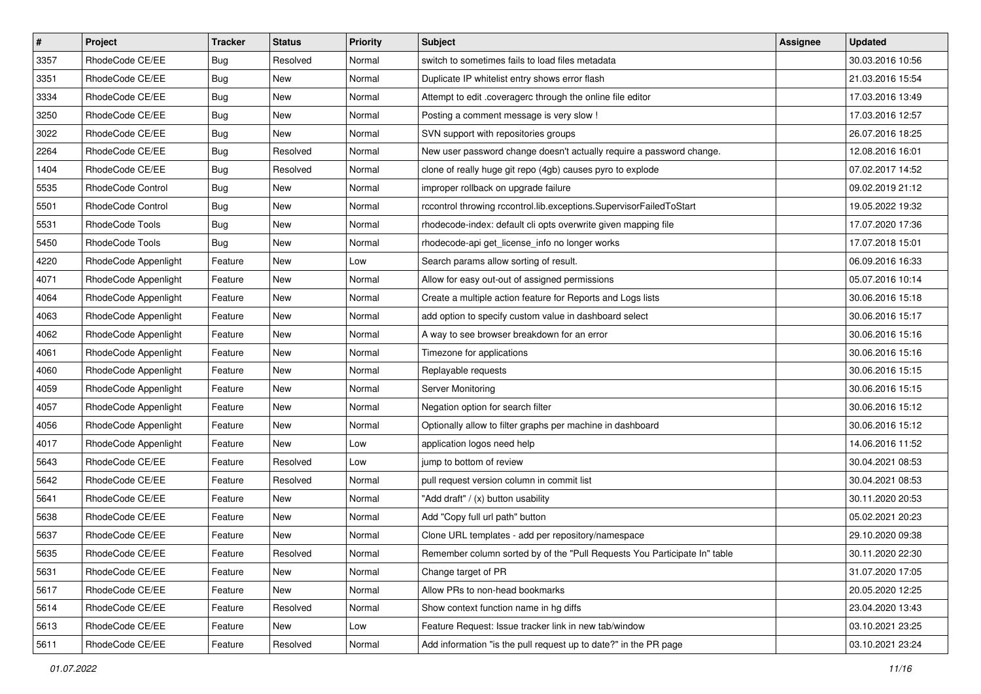| $\pmb{\#}$ | Project                  | <b>Tracker</b> | <b>Status</b> | Priority | <b>Subject</b>                                                            | <b>Assignee</b> | <b>Updated</b>   |
|------------|--------------------------|----------------|---------------|----------|---------------------------------------------------------------------------|-----------------|------------------|
| 3357       | RhodeCode CE/EE          | <b>Bug</b>     | Resolved      | Normal   | switch to sometimes fails to load files metadata                          |                 | 30.03.2016 10:56 |
| 3351       | RhodeCode CE/EE          | Bug            | New           | Normal   | Duplicate IP whitelist entry shows error flash                            |                 | 21.03.2016 15:54 |
| 3334       | RhodeCode CE/EE          | Bug            | New           | Normal   | Attempt to edit .coveragerc through the online file editor                |                 | 17.03.2016 13:49 |
| 3250       | RhodeCode CE/EE          | <b>Bug</b>     | New           | Normal   | Posting a comment message is very slow !                                  |                 | 17.03.2016 12:57 |
| 3022       | RhodeCode CE/EE          | Bug            | <b>New</b>    | Normal   | SVN support with repositories groups                                      |                 | 26.07.2016 18:25 |
| 2264       | RhodeCode CE/EE          | Bug            | Resolved      | Normal   | New user password change doesn't actually require a password change.      |                 | 12.08.2016 16:01 |
| 1404       | RhodeCode CE/EE          | Bug            | Resolved      | Normal   | clone of really huge git repo (4gb) causes pyro to explode                |                 | 07.02.2017 14:52 |
| 5535       | RhodeCode Control        | Bug            | New           | Normal   | improper rollback on upgrade failure                                      |                 | 09.02.2019 21:12 |
| 5501       | <b>RhodeCode Control</b> | Bug            | New           | Normal   | rccontrol throwing rccontrol.lib.exceptions.SupervisorFailedToStart       |                 | 19.05.2022 19:32 |
| 5531       | RhodeCode Tools          | Bug            | New           | Normal   | rhodecode-index: default cli opts overwrite given mapping file            |                 | 17.07.2020 17:36 |
| 5450       | RhodeCode Tools          | Bug            | New           | Normal   | rhodecode-api get_license_info no longer works                            |                 | 17.07.2018 15:01 |
| 4220       | RhodeCode Appenlight     | Feature        | New           | Low      | Search params allow sorting of result.                                    |                 | 06.09.2016 16:33 |
| 4071       | RhodeCode Appenlight     | Feature        | New           | Normal   | Allow for easy out-out of assigned permissions                            |                 | 05.07.2016 10:14 |
| 4064       | RhodeCode Appenlight     | Feature        | New           | Normal   | Create a multiple action feature for Reports and Logs lists               |                 | 30.06.2016 15:18 |
| 4063       | RhodeCode Appenlight     | Feature        | New           | Normal   | add option to specify custom value in dashboard select                    |                 | 30.06.2016 15:17 |
| 4062       | RhodeCode Appenlight     | Feature        | New           | Normal   | A way to see browser breakdown for an error                               |                 | 30.06.2016 15:16 |
| 4061       | RhodeCode Appenlight     | Feature        | New           | Normal   | Timezone for applications                                                 |                 | 30.06.2016 15:16 |
| 4060       | RhodeCode Appenlight     | Feature        | <b>New</b>    | Normal   | Replayable requests                                                       |                 | 30.06.2016 15:15 |
| 4059       | RhodeCode Appenlight     | Feature        | New           | Normal   | Server Monitoring                                                         |                 | 30.06.2016 15:15 |
| 4057       | RhodeCode Appenlight     | Feature        | New           | Normal   | Negation option for search filter                                         |                 | 30.06.2016 15:12 |
| 4056       | RhodeCode Appenlight     | Feature        | New           | Normal   | Optionally allow to filter graphs per machine in dashboard                |                 | 30.06.2016 15:12 |
| 4017       | RhodeCode Appenlight     | Feature        | New           | Low      | application logos need help                                               |                 | 14.06.2016 11:52 |
| 5643       | RhodeCode CE/EE          | Feature        | Resolved      | Low      | jump to bottom of review                                                  |                 | 30.04.2021 08:53 |
| 5642       | RhodeCode CE/EE          | Feature        | Resolved      | Normal   | pull request version column in commit list                                |                 | 30.04.2021 08:53 |
| 5641       | RhodeCode CE/EE          | Feature        | New           | Normal   | "Add draft" / (x) button usability                                        |                 | 30.11.2020 20:53 |
| 5638       | RhodeCode CE/EE          | Feature        | New           | Normal   | Add "Copy full url path" button                                           |                 | 05.02.2021 20:23 |
| 5637       | RhodeCode CE/EE          | Feature        | New           | Normal   | Clone URL templates - add per repository/namespace                        |                 | 29.10.2020 09:38 |
| 5635       | RhodeCode CE/EE          | Feature        | Resolved      | Normal   | Remember column sorted by of the "Pull Requests You Participate In" table |                 | 30.11.2020 22:30 |
| 5631       | RhodeCode CE/EE          | Feature        | New           | Normal   | Change target of PR                                                       |                 | 31.07.2020 17:05 |
| 5617       | RhodeCode CE/EE          | Feature        | New           | Normal   | Allow PRs to non-head bookmarks                                           |                 | 20.05.2020 12:25 |
| 5614       | RhodeCode CE/EE          | Feature        | Resolved      | Normal   | Show context function name in hg diffs                                    |                 | 23.04.2020 13:43 |
| 5613       | RhodeCode CE/EE          | Feature        | New           | Low      | Feature Request: Issue tracker link in new tab/window                     |                 | 03.10.2021 23:25 |
| 5611       | RhodeCode CE/EE          | Feature        | Resolved      | Normal   | Add information "is the pull request up to date?" in the PR page          |                 | 03.10.2021 23:24 |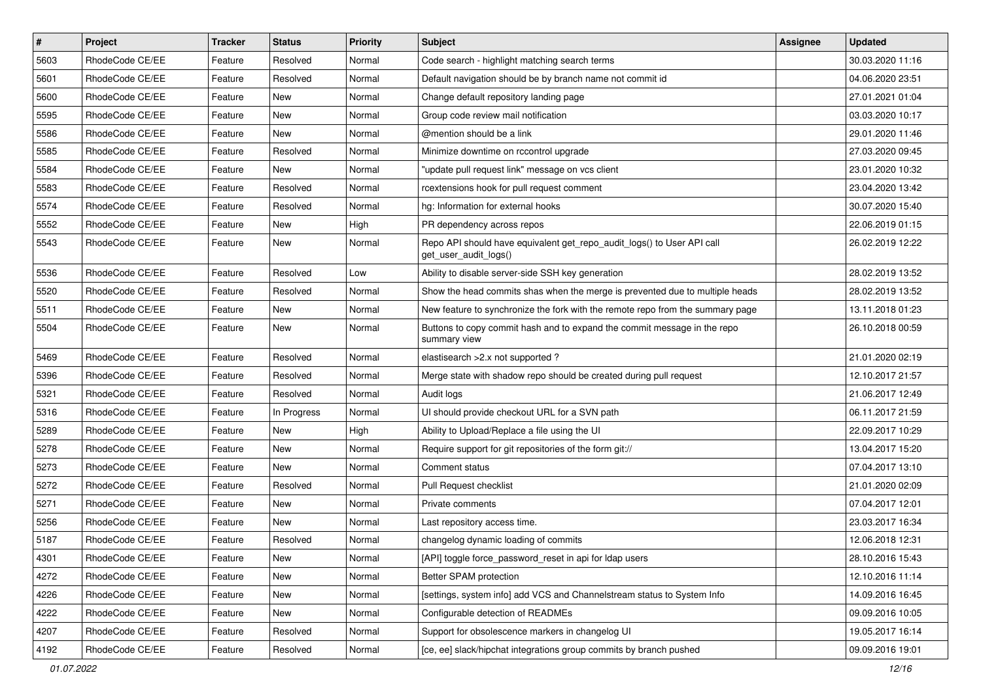| $\vert$ # | Project         | <b>Tracker</b> | <b>Status</b> | <b>Priority</b> | <b>Subject</b>                                                                                  | <b>Assignee</b> | <b>Updated</b>   |
|-----------|-----------------|----------------|---------------|-----------------|-------------------------------------------------------------------------------------------------|-----------------|------------------|
| 5603      | RhodeCode CE/EE | Feature        | Resolved      | Normal          | Code search - highlight matching search terms                                                   |                 | 30.03.2020 11:16 |
| 5601      | RhodeCode CE/EE | Feature        | Resolved      | Normal          | Default navigation should be by branch name not commit id                                       |                 | 04.06.2020 23:51 |
| 5600      | RhodeCode CE/EE | Feature        | New           | Normal          | Change default repository landing page                                                          |                 | 27.01.2021 01:04 |
| 5595      | RhodeCode CE/EE | Feature        | New           | Normal          | Group code review mail notification                                                             |                 | 03.03.2020 10:17 |
| 5586      | RhodeCode CE/EE | Feature        | New           | Normal          | @mention should be a link                                                                       |                 | 29.01.2020 11:46 |
| 5585      | RhodeCode CE/EE | Feature        | Resolved      | Normal          | Minimize downtime on rccontrol upgrade                                                          |                 | 27.03.2020 09:45 |
| 5584      | RhodeCode CE/EE | Feature        | New           | Normal          | "update pull request link" message on vcs client                                                |                 | 23.01.2020 10:32 |
| 5583      | RhodeCode CE/EE | Feature        | Resolved      | Normal          | rcextensions hook for pull request comment                                                      |                 | 23.04.2020 13:42 |
| 5574      | RhodeCode CE/EE | Feature        | Resolved      | Normal          | hg: Information for external hooks                                                              |                 | 30.07.2020 15:40 |
| 5552      | RhodeCode CE/EE | Feature        | New           | High            | PR dependency across repos                                                                      |                 | 22.06.2019 01:15 |
| 5543      | RhodeCode CE/EE | Feature        | New           | Normal          | Repo API should have equivalent get_repo_audit_logs() to User API call<br>get_user_audit_logs() |                 | 26.02.2019 12:22 |
| 5536      | RhodeCode CE/EE | Feature        | Resolved      | Low             | Ability to disable server-side SSH key generation                                               |                 | 28.02.2019 13:52 |
| 5520      | RhodeCode CE/EE | Feature        | Resolved      | Normal          | Show the head commits shas when the merge is prevented due to multiple heads                    |                 | 28.02.2019 13:52 |
| 5511      | RhodeCode CE/EE | Feature        | New           | Normal          | New feature to synchronize the fork with the remote repo from the summary page                  |                 | 13.11.2018 01:23 |
| 5504      | RhodeCode CE/EE | Feature        | New           | Normal          | Buttons to copy commit hash and to expand the commit message in the repo<br>summary view        |                 | 26.10.2018 00:59 |
| 5469      | RhodeCode CE/EE | Feature        | Resolved      | Normal          | elastisearch > 2.x not supported ?                                                              |                 | 21.01.2020 02:19 |
| 5396      | RhodeCode CE/EE | Feature        | Resolved      | Normal          | Merge state with shadow repo should be created during pull request                              |                 | 12.10.2017 21:57 |
| 5321      | RhodeCode CE/EE | Feature        | Resolved      | Normal          | Audit logs                                                                                      |                 | 21.06.2017 12:49 |
| 5316      | RhodeCode CE/EE | Feature        | In Progress   | Normal          | UI should provide checkout URL for a SVN path                                                   |                 | 06.11.2017 21:59 |
| 5289      | RhodeCode CE/EE | Feature        | New           | High            | Ability to Upload/Replace a file using the UI                                                   |                 | 22.09.2017 10:29 |
| 5278      | RhodeCode CE/EE | Feature        | New           | Normal          | Require support for git repositories of the form git://                                         |                 | 13.04.2017 15:20 |
| 5273      | RhodeCode CE/EE | Feature        | New           | Normal          | Comment status                                                                                  |                 | 07.04.2017 13:10 |
| 5272      | RhodeCode CE/EE | Feature        | Resolved      | Normal          | Pull Request checklist                                                                          |                 | 21.01.2020 02:09 |
| 5271      | RhodeCode CE/EE | Feature        | New           | Normal          | Private comments                                                                                |                 | 07.04.2017 12:01 |
| 5256      | RhodeCode CE/EE | Feature        | New           | Normal          | Last repository access time.                                                                    |                 | 23.03.2017 16:34 |
| 5187      | RhodeCode CE/EE | Feature        | Resolved      | Normal          | changelog dynamic loading of commits                                                            |                 | 12.06.2018 12:31 |
| 4301      | RhodeCode CE/EE | Feature        | New           | Normal          | [API] toggle force_password_reset in api for Idap users                                         |                 | 28.10.2016 15:43 |
| 4272      | RhodeCode CE/EE | Feature        | New           | Normal          | Better SPAM protection                                                                          |                 | 12.10.2016 11:14 |
| 4226      | RhodeCode CE/EE | Feature        | New           | Normal          | [settings, system info] add VCS and Channelstream status to System Info                         |                 | 14.09.2016 16:45 |
| 4222      | RhodeCode CE/EE | Feature        | New           | Normal          | Configurable detection of READMEs                                                               |                 | 09.09.2016 10:05 |
| 4207      | RhodeCode CE/EE | Feature        | Resolved      | Normal          | Support for obsolescence markers in changelog UI                                                |                 | 19.05.2017 16:14 |
| 4192      | RhodeCode CE/EE | Feature        | Resolved      | Normal          | [ce, ee] slack/hipchat integrations group commits by branch pushed                              |                 | 09.09.2016 19:01 |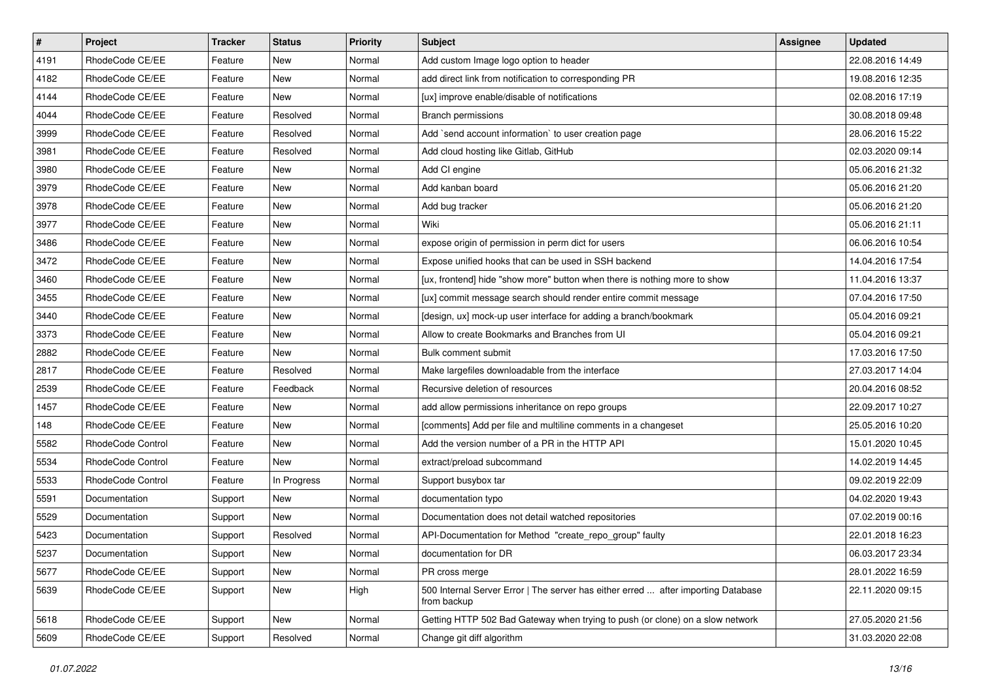| $\pmb{\#}$ | <b>Project</b>           | <b>Tracker</b> | <b>Status</b> | <b>Priority</b> | Subject                                                                                          | Assignee | <b>Updated</b>   |
|------------|--------------------------|----------------|---------------|-----------------|--------------------------------------------------------------------------------------------------|----------|------------------|
| 4191       | RhodeCode CE/EE          | Feature        | New           | Normal          | Add custom Image logo option to header                                                           |          | 22.08.2016 14:49 |
| 4182       | RhodeCode CE/EE          | Feature        | New           | Normal          | add direct link from notification to corresponding PR                                            |          | 19.08.2016 12:35 |
| 4144       | RhodeCode CE/EE          | Feature        | New           | Normal          | [ux] improve enable/disable of notifications                                                     |          | 02.08.2016 17:19 |
| 4044       | RhodeCode CE/EE          | Feature        | Resolved      | Normal          | Branch permissions                                                                               |          | 30.08.2018 09:48 |
| 3999       | RhodeCode CE/EE          | Feature        | Resolved      | Normal          | Add `send account information` to user creation page                                             |          | 28.06.2016 15:22 |
| 3981       | RhodeCode CE/EE          | Feature        | Resolved      | Normal          | Add cloud hosting like Gitlab, GitHub                                                            |          | 02.03.2020 09:14 |
| 3980       | RhodeCode CE/EE          | Feature        | New           | Normal          | Add CI engine                                                                                    |          | 05.06.2016 21:32 |
| 3979       | RhodeCode CE/EE          | Feature        | New           | Normal          | Add kanban board                                                                                 |          | 05.06.2016 21:20 |
| 3978       | RhodeCode CE/EE          | Feature        | New           | Normal          | Add bug tracker                                                                                  |          | 05.06.2016 21:20 |
| 3977       | RhodeCode CE/EE          | Feature        | <b>New</b>    | Normal          | Wiki                                                                                             |          | 05.06.2016 21:11 |
| 3486       | RhodeCode CE/EE          | Feature        | <b>New</b>    | Normal          | expose origin of permission in perm dict for users                                               |          | 06.06.2016 10:54 |
| 3472       | RhodeCode CE/EE          | Feature        | New           | Normal          | Expose unified hooks that can be used in SSH backend                                             |          | 14.04.2016 17:54 |
| 3460       | RhodeCode CE/EE          | Feature        | New           | Normal          | [ux, frontend] hide "show more" button when there is nothing more to show                        |          | 11.04.2016 13:37 |
| 3455       | RhodeCode CE/EE          | Feature        | New           | Normal          | [ux] commit message search should render entire commit message                                   |          | 07.04.2016 17:50 |
| 3440       | RhodeCode CE/EE          | Feature        | <b>New</b>    | Normal          | [design, ux] mock-up user interface for adding a branch/bookmark                                 |          | 05.04.2016 09:21 |
| 3373       | RhodeCode CE/EE          | Feature        | New           | Normal          | Allow to create Bookmarks and Branches from UI                                                   |          | 05.04.2016 09:21 |
| 2882       | RhodeCode CE/EE          | Feature        | New           | Normal          | Bulk comment submit                                                                              |          | 17.03.2016 17:50 |
| 2817       | RhodeCode CE/EE          | Feature        | Resolved      | Normal          | Make largefiles downloadable from the interface                                                  |          | 27.03.2017 14:04 |
| 2539       | RhodeCode CE/EE          | Feature        | Feedback      | Normal          | Recursive deletion of resources                                                                  |          | 20.04.2016 08:52 |
| 1457       | RhodeCode CE/EE          | Feature        | New           | Normal          | add allow permissions inheritance on repo groups                                                 |          | 22.09.2017 10:27 |
| 148        | RhodeCode CE/EE          | Feature        | New           | Normal          | [comments] Add per file and multiline comments in a changeset                                    |          | 25.05.2016 10:20 |
| 5582       | <b>RhodeCode Control</b> | Feature        | <b>New</b>    | Normal          | Add the version number of a PR in the HTTP API                                                   |          | 15.01.2020 10:45 |
| 5534       | RhodeCode Control        | Feature        | <b>New</b>    | Normal          | extract/preload subcommand                                                                       |          | 14.02.2019 14:45 |
| 5533       | RhodeCode Control        | Feature        | In Progress   | Normal          | Support busybox tar                                                                              |          | 09.02.2019 22:09 |
| 5591       | Documentation            | Support        | New           | Normal          | documentation typo                                                                               |          | 04.02.2020 19:43 |
| 5529       | Documentation            | Support        | New           | Normal          | Documentation does not detail watched repositories                                               |          | 07.02.2019 00:16 |
| 5423       | Documentation            | Support        | Resolved      | Normal          | API-Documentation for Method "create_repo_group" faulty                                          |          | 22.01.2018 16:23 |
| 5237       | Documentation            | Support        | New           | Normal          | documentation for DR                                                                             |          | 06.03.2017 23:34 |
| 5677       | RhodeCode CE/EE          | Support        | New           | Normal          | PR cross merge                                                                                   |          | 28.01.2022 16:59 |
| 5639       | RhodeCode CE/EE          | Support        | New           | High            | 500 Internal Server Error   The server has either erred  after importing Database<br>from backup |          | 22.11.2020 09:15 |
| 5618       | RhodeCode CE/EE          | Support        | New           | Normal          | Getting HTTP 502 Bad Gateway when trying to push (or clone) on a slow network                    |          | 27.05.2020 21:56 |
| 5609       | RhodeCode CE/EE          | Support        | Resolved      | Normal          | Change git diff algorithm                                                                        |          | 31.03.2020 22:08 |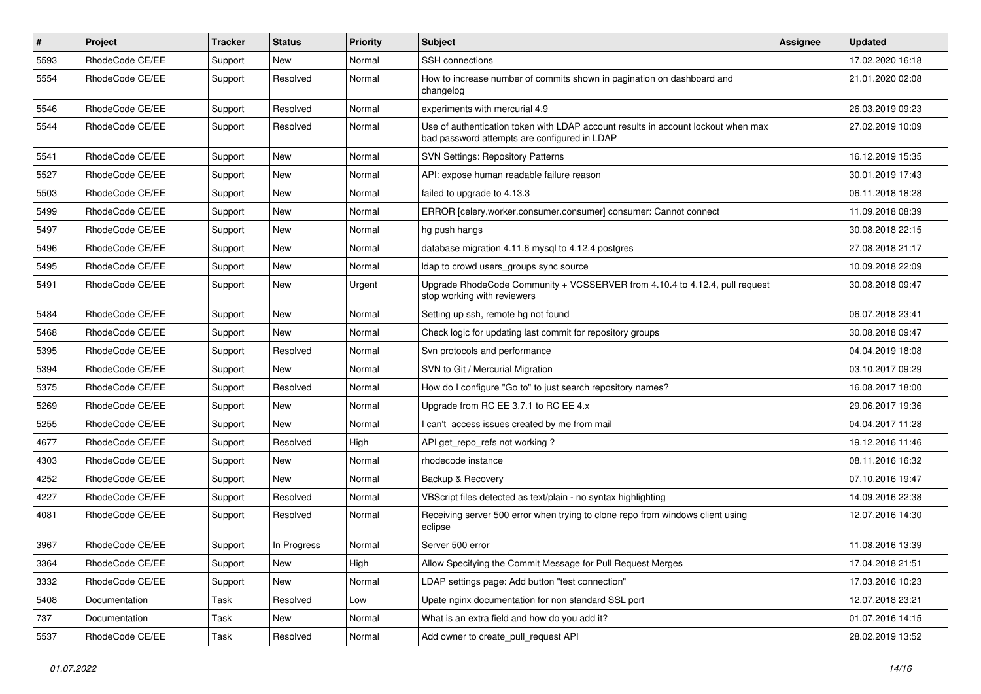| $\#$ | Project         | <b>Tracker</b> | <b>Status</b> | <b>Priority</b> | <b>Subject</b>                                                                                                                    | Assignee | <b>Updated</b>   |
|------|-----------------|----------------|---------------|-----------------|-----------------------------------------------------------------------------------------------------------------------------------|----------|------------------|
| 5593 | RhodeCode CE/EE | Support        | New           | Normal          | SSH connections                                                                                                                   |          | 17.02.2020 16:18 |
| 5554 | RhodeCode CE/EE | Support        | Resolved      | Normal          | How to increase number of commits shown in pagination on dashboard and<br>changelog                                               |          | 21.01.2020 02:08 |
| 5546 | RhodeCode CE/EE | Support        | Resolved      | Normal          | experiments with mercurial 4.9                                                                                                    |          | 26.03.2019 09:23 |
| 5544 | RhodeCode CE/EE | Support        | Resolved      | Normal          | Use of authentication token with LDAP account results in account lockout when max<br>bad password attempts are configured in LDAP |          | 27.02.2019 10:09 |
| 5541 | RhodeCode CE/EE | Support        | <b>New</b>    | Normal          | <b>SVN Settings: Repository Patterns</b>                                                                                          |          | 16.12.2019 15:35 |
| 5527 | RhodeCode CE/EE | Support        | New           | Normal          | API: expose human readable failure reason                                                                                         |          | 30.01.2019 17:43 |
| 5503 | RhodeCode CE/EE | Support        | <b>New</b>    | Normal          | failed to upgrade to 4.13.3                                                                                                       |          | 06.11.2018 18:28 |
| 5499 | RhodeCode CE/EE | Support        | <b>New</b>    | Normal          | ERROR [celery.worker.consumer.consumer] consumer: Cannot connect                                                                  |          | 11.09.2018 08:39 |
| 5497 | RhodeCode CE/EE | Support        | New           | Normal          | hg push hangs                                                                                                                     |          | 30.08.2018 22:15 |
| 5496 | RhodeCode CE/EE | Support        | New           | Normal          | database migration 4.11.6 mysql to 4.12.4 postgres                                                                                |          | 27.08.2018 21:17 |
| 5495 | RhodeCode CE/EE | Support        | New           | Normal          | Idap to crowd users_groups sync source                                                                                            |          | 10.09.2018 22:09 |
| 5491 | RhodeCode CE/EE | Support        | New           | Urgent          | Upgrade RhodeCode Community + VCSSERVER from 4.10.4 to 4.12.4, pull request<br>stop working with reviewers                        |          | 30.08.2018 09:47 |
| 5484 | RhodeCode CE/EE | Support        | New           | Normal          | Setting up ssh, remote hg not found                                                                                               |          | 06.07.2018 23:41 |
| 5468 | RhodeCode CE/EE | Support        | New           | Normal          | Check logic for updating last commit for repository groups                                                                        |          | 30.08.2018 09:47 |
| 5395 | RhodeCode CE/EE | Support        | Resolved      | Normal          | Svn protocols and performance                                                                                                     |          | 04.04.2019 18:08 |
| 5394 | RhodeCode CE/EE | Support        | New           | Normal          | SVN to Git / Mercurial Migration                                                                                                  |          | 03.10.2017 09:29 |
| 5375 | RhodeCode CE/EE | Support        | Resolved      | Normal          | How do I configure "Go to" to just search repository names?                                                                       |          | 16.08.2017 18:00 |
| 5269 | RhodeCode CE/EE | Support        | New           | Normal          | Upgrade from RC EE 3.7.1 to RC EE 4.x                                                                                             |          | 29.06.2017 19:36 |
| 5255 | RhodeCode CE/EE | Support        | New           | Normal          | I can't access issues created by me from mail                                                                                     |          | 04.04.2017 11:28 |
| 4677 | RhodeCode CE/EE | Support        | Resolved      | High            | API get_repo_refs not working?                                                                                                    |          | 19.12.2016 11:46 |
| 4303 | RhodeCode CE/EE | Support        | New           | Normal          | rhodecode instance                                                                                                                |          | 08.11.2016 16:32 |
| 4252 | RhodeCode CE/EE | Support        | New           | Normal          | Backup & Recovery                                                                                                                 |          | 07.10.2016 19:47 |
| 4227 | RhodeCode CE/EE | Support        | Resolved      | Normal          | VBScript files detected as text/plain - no syntax highlighting                                                                    |          | 14.09.2016 22:38 |
| 4081 | RhodeCode CE/EE | Support        | Resolved      | Normal          | Receiving server 500 error when trying to clone repo from windows client using<br>eclipse                                         |          | 12.07.2016 14:30 |
| 3967 | RhodeCode CE/EE | Support        | In Progress   | Normal          | Server 500 error                                                                                                                  |          | 11.08.2016 13:39 |
| 3364 | RhodeCode CE/EE | Support        | New           | High            | Allow Specifying the Commit Message for Pull Request Merges                                                                       |          | 17.04.2018 21:51 |
| 3332 | RhodeCode CE/EE | Support        | New           | Normal          | LDAP settings page: Add button "test connection"                                                                                  |          | 17.03.2016 10:23 |
| 5408 | Documentation   | Task           | Resolved      | Low             | Upate nginx documentation for non standard SSL port                                                                               |          | 12.07.2018 23:21 |
| 737  | Documentation   | Task           | New           | Normal          | What is an extra field and how do you add it?                                                                                     |          | 01.07.2016 14:15 |
| 5537 | RhodeCode CE/EE | Task           | Resolved      | Normal          | Add owner to create_pull_request API                                                                                              |          | 28.02.2019 13:52 |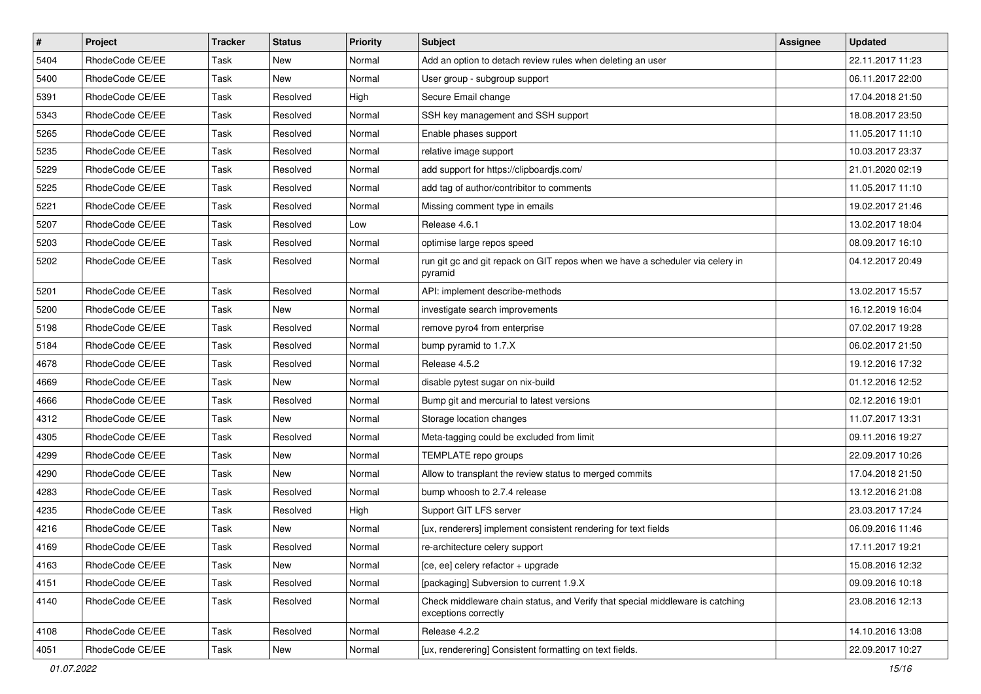| $\vert$ # | Project         | <b>Tracker</b> | <b>Status</b> | <b>Priority</b> | <b>Subject</b>                                                                                        | <b>Assignee</b> | <b>Updated</b>   |
|-----------|-----------------|----------------|---------------|-----------------|-------------------------------------------------------------------------------------------------------|-----------------|------------------|
| 5404      | RhodeCode CE/EE | Task           | New           | Normal          | Add an option to detach review rules when deleting an user                                            |                 | 22.11.2017 11:23 |
| 5400      | RhodeCode CE/EE | Task           | <b>New</b>    | Normal          | User group - subgroup support                                                                         |                 | 06.11.2017 22:00 |
| 5391      | RhodeCode CE/EE | Task           | Resolved      | High            | Secure Email change                                                                                   |                 | 17.04.2018 21:50 |
| 5343      | RhodeCode CE/EE | Task           | Resolved      | Normal          | SSH key management and SSH support                                                                    |                 | 18.08.2017 23:50 |
| 5265      | RhodeCode CE/EE | Task           | Resolved      | Normal          | Enable phases support                                                                                 |                 | 11.05.2017 11:10 |
| 5235      | RhodeCode CE/EE | Task           | Resolved      | Normal          | relative image support                                                                                |                 | 10.03.2017 23:37 |
| 5229      | RhodeCode CE/EE | Task           | Resolved      | Normal          | add support for https://clipboardjs.com/                                                              |                 | 21.01.2020 02:19 |
| 5225      | RhodeCode CE/EE | Task           | Resolved      | Normal          | add tag of author/contribitor to comments                                                             |                 | 11.05.2017 11:10 |
| 5221      | RhodeCode CE/EE | Task           | Resolved      | Normal          | Missing comment type in emails                                                                        |                 | 19.02.2017 21:46 |
| 5207      | RhodeCode CE/EE | Task           | Resolved      | Low             | Release 4.6.1                                                                                         |                 | 13.02.2017 18:04 |
| 5203      | RhodeCode CE/EE | Task           | Resolved      | Normal          | optimise large repos speed                                                                            |                 | 08.09.2017 16:10 |
| 5202      | RhodeCode CE/EE | Task           | Resolved      | Normal          | run git gc and git repack on GIT repos when we have a scheduler via celery in<br>pyramid              |                 | 04.12.2017 20:49 |
| 5201      | RhodeCode CE/EE | Task           | Resolved      | Normal          | API: implement describe-methods                                                                       |                 | 13.02.2017 15:57 |
| 5200      | RhodeCode CE/EE | Task           | New           | Normal          | investigate search improvements                                                                       |                 | 16.12.2019 16:04 |
| 5198      | RhodeCode CE/EE | Task           | Resolved      | Normal          | remove pyro4 from enterprise                                                                          |                 | 07.02.2017 19:28 |
| 5184      | RhodeCode CE/EE | Task           | Resolved      | Normal          | bump pyramid to 1.7.X                                                                                 |                 | 06.02.2017 21:50 |
| 4678      | RhodeCode CE/EE | Task           | Resolved      | Normal          | Release 4.5.2                                                                                         |                 | 19.12.2016 17:32 |
| 4669      | RhodeCode CE/EE | Task           | <b>New</b>    | Normal          | disable pytest sugar on nix-build                                                                     |                 | 01.12.2016 12:52 |
| 4666      | RhodeCode CE/EE | Task           | Resolved      | Normal          | Bump git and mercurial to latest versions                                                             |                 | 02.12.2016 19:01 |
| 4312      | RhodeCode CE/EE | Task           | <b>New</b>    | Normal          | Storage location changes                                                                              |                 | 11.07.2017 13:31 |
| 4305      | RhodeCode CE/EE | Task           | Resolved      | Normal          | Meta-tagging could be excluded from limit                                                             |                 | 09.11.2016 19:27 |
| 4299      | RhodeCode CE/EE | Task           | New           | Normal          | TEMPLATE repo groups                                                                                  |                 | 22.09.2017 10:26 |
| 4290      | RhodeCode CE/EE | Task           | New           | Normal          | Allow to transplant the review status to merged commits                                               |                 | 17.04.2018 21:50 |
| 4283      | RhodeCode CE/EE | Task           | Resolved      | Normal          | bump whoosh to 2.7.4 release                                                                          |                 | 13.12.2016 21:08 |
| 4235      | RhodeCode CE/EE | Task           | Resolved      | High            | Support GIT LFS server                                                                                |                 | 23.03.2017 17:24 |
| 4216      | RhodeCode CE/EE | Task           | New           | Normal          | [ux, renderers] implement consistent rendering for text fields                                        |                 | 06.09.2016 11:46 |
| 4169      | RhodeCode CE/EE | Task           | Resolved      | Normal          | re-architecture celery support                                                                        |                 | 17.11.2017 19:21 |
| 4163      | RhodeCode CE/EE | Task           | New           | Normal          | [ce, ee] celery refactor + upgrade                                                                    |                 | 15.08.2016 12:32 |
| 4151      | RhodeCode CE/EE | Task           | Resolved      | Normal          | [packaging] Subversion to current 1.9.X                                                               |                 | 09.09.2016 10:18 |
| 4140      | RhodeCode CE/EE | Task           | Resolved      | Normal          | Check middleware chain status, and Verify that special middleware is catching<br>exceptions correctly |                 | 23.08.2016 12:13 |
| 4108      | RhodeCode CE/EE | Task           | Resolved      | Normal          | Release 4.2.2                                                                                         |                 | 14.10.2016 13:08 |
| 4051      | RhodeCode CE/EE | Task           | New           | Normal          | [ux, renderering] Consistent formatting on text fields.                                               |                 | 22.09.2017 10:27 |